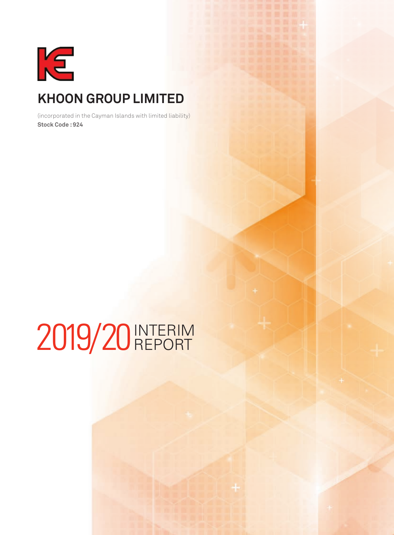

# **Khoon Group Limited**

(incorporated in the Cayman Islands with limited liability) **Stock Code : 924**

# 2019/20 INTERIM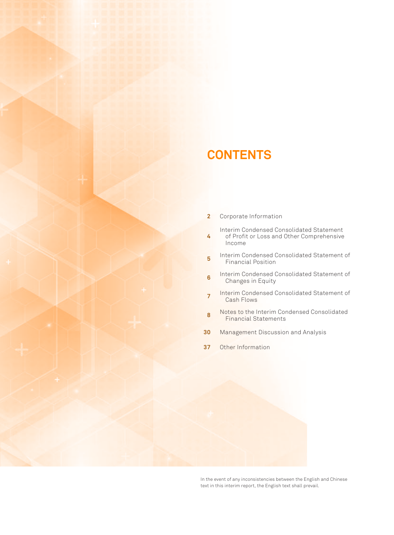# **CONTENTS**

- **2** Corporate Information
- **4** Interim Condensed Consolidated Statement of Profit or Loss and Other Comprehensive
- Income
- **5** Interim Condensed Consolidated Statement of Financial Position
- **6** Interim Condensed Consolidated Statement of Changes in Equity
- **<sup>7</sup>** Interim Condensed Consolidated Statement of Cash Flows
- **8** Notes to the Interim Condensed Consolidated Financial Statements
- **30** Management Discussion and Analysis
- **37** Other Information

In the event of any inconsistencies between the English and Chinese text in this interim report, the English text shall prevail.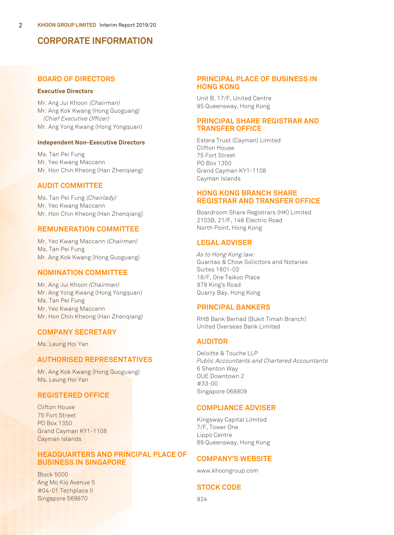## **CORPORATE INFORMATION**

## **BOARD OF DIRECTORS**

## **Executive Directors**

Mr. Ang Jui Khoon (Chairman) Mr. Ang Kok Kwang (Hong Guoguang) (Chief Executive Officer) Mr. Ang Yong Kwang (Hong Yongquan)

#### **Independent Non-Executive Directors**

Ms. Tan Pei Fung Mr. Yeo Kwang Maccann Mr. Hon Chin Kheong (Han Zhenqiang)

## **AUDIT COMMITTEE**

Ms. Tan Pei Fung (Chairlady) Mr. Yeo Kwang Maccann Mr. Hon Chin Kheong (Han Zhenqiang)

## **REMUNERATION COMMITTEE**

Mr. Yeo Kwang Maccann (Chairman) Ms. Tan Pei Fung Mr. Ang Kok Kwang (Hong Guoguang)

## **NOMINATION COMMITTEE**

Mr. Ang Jui Khoon (Chairman) Mr. Ang Yong Kwang (Hong Yongquan) Ms. Tan Pei Fung Mr. Yeo Kwang Maccann Mr. Hon Chin Kheong (Han Zhenqiang)

## **COMPANY SECRETARY**

Ms. Leung Hoi Yan

## **AUTHORISED REPRESENTATIVES**

Mr. Ang Kok Kwang (Hong Guoguang) Ms. Leung Hoi Yan

## **REGISTERED OFFICE**

Clifton House 75 Fort Street PO Box 1350 Grand Cayman KY1-1108 Cayman Islands

## **HEADQUARTERS AND PRINCIPAL PLACE OF BUSINESS IN SINGAPORE**

Block 5000 Ang Mo Kio Avenue 5 #04-01 Techplace II Singapore 569870

## **PRINCIPAL PLACE OF BUSINESS IN HONG KONG**

Unit B, 17/F, United Centre 95 Queensway, Hong Kong

## **PRINCIPAL SHARE REGISTRAR AND TRANSFER OFFICE**

Estera Trust (Cayman) Limited Clifton House 75 Fort Street PO Box 1350 Grand Cayman KY1-1108 Cayman Islands

## **HONG KONG BRANCH SHARE REGISTRAR AND TRANSFER OFFICE**

Boardroom Share Registrars (HK) Limited 2103B, 21/F, 148 Electric Road North Point, Hong Kong

## **LEGAL ADVISER**

As to Hong Kong law: Guantao & Chow Solicitors and Notaries Suites 1801-03 18/F, One Taikoo Place 979 King's Road Quarry Bay, Hong Kong

## **PRINCIPAL BANKERS**

RHB Bank Berhad (Bukit Timah Branch) United Overseas Bank Limited

## **AUDITOR**

Deloitte & Touche LLP Public Accountants and Chartered Accountants 6 Shenton Way OUE Downtown 2 #33-00 Singapore 068809

## **COMPLIANCE ADVISER**

Kingsway Capital Limited 7/F, Tower One Lippo Centre 89 Queensway, Hong Kong

## **COMPANY'S WEBSITE**

www.khoongroup.com

## **STOCK CODE**

924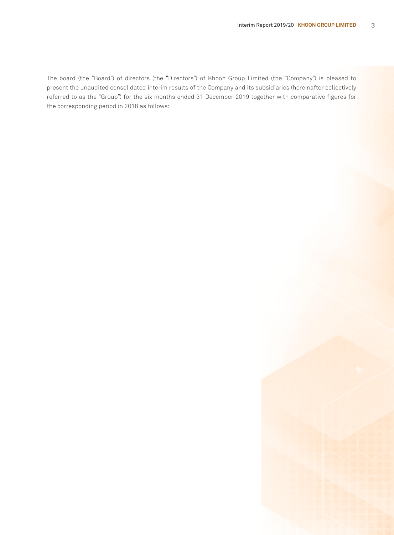The board (the "Board") of directors (the "Directors") of Khoon Group Limited (the "Company") is pleased to present the unaudited consolidated interim results of the Company and its subsidiaries (hereinafter collectively referred to as the "Group") for the six months ended 31 December 2019 together with comparative figures for the corresponding period in 2018 as follows: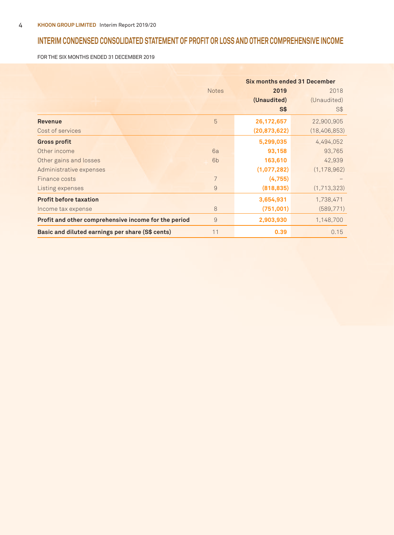## **Interim CONDENSED CONSOLIDATED STATEMENT OF PROFIT OR LOSS AND OTHER COMPREHENSIVE INCOME**

FOR THE SIX MONTHS ENDED 31 DECEMBER 2019

|                                                      |                | <b>Six months ended 31 December</b> |                |
|------------------------------------------------------|----------------|-------------------------------------|----------------|
|                                                      | <b>Notes</b>   | 2019                                | 2018           |
|                                                      |                | (Unaudited)                         | (Unaudited)    |
|                                                      |                | S\$                                 | S\$            |
| <b>Revenue</b>                                       | 5              | 26, 172, 657                        | 22,900,905     |
| Cost of services                                     |                | (20, 873, 622)                      | (18, 406, 853) |
| <b>Gross profit</b>                                  |                | 5,299,035                           | 4,494,052      |
| Other income                                         | 6a             | 93,158                              | 93,765         |
| Other gains and losses                               | 6 <sub>b</sub> | 163,610                             | 42,939         |
| Administrative expenses                              |                | (1,077,282)                         | (1, 178, 962)  |
| Finance costs                                        | 7              | (4,755)                             |                |
| Listing expenses                                     | 9              | (818, 835)                          | (1,713,323)    |
| <b>Profit before taxation</b>                        |                | 3,654,931                           | 1,738,471      |
| Income tax expense                                   | 8              | (751,001)                           | (589, 771)     |
| Profit and other comprehensive income for the period | 9              | 2,903,930                           | 1,148,700      |
| Basic and diluted earnings per share (S\$ cents)     | 11             | 0.39                                | 0.15           |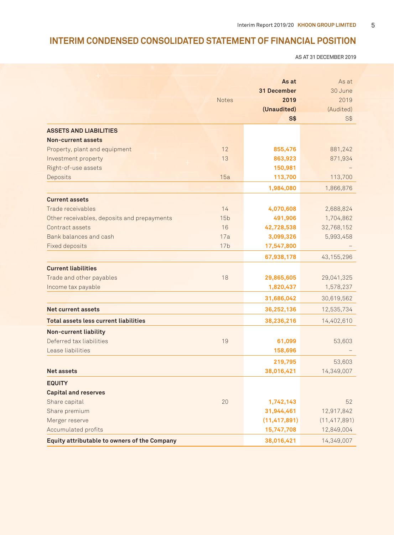## **Interim CONDENSED CONSOLIDATED STATEMENT OF FINANCIAL POSITION**

AS AT 31 DECEMBER 2019

|                                              |                 | As at<br>31 December | As at<br>30 June |
|----------------------------------------------|-----------------|----------------------|------------------|
|                                              | <b>Notes</b>    | 2019                 | 2019             |
|                                              |                 | (Unaudited)          | (Audited)        |
|                                              |                 | S <sub>3</sub>       | S <sub>3</sub>   |
| <b>ASSETS AND LIABILITIES</b>                |                 |                      |                  |
| Non-current assets                           |                 |                      |                  |
| Property, plant and equipment                | 12              | 855,476              | 881,242          |
| Investment property                          | 13              | 863,923              | 871,934          |
| Right-of-use assets                          |                 | 150,981              |                  |
| Deposits                                     | 15a             | 113,700              | 113,700          |
|                                              |                 | 1,984,080            | 1,866,876        |
| <b>Current assets</b>                        |                 |                      |                  |
| Trade receivables                            | 14              | 4,070,608            | 2,688,824        |
| Other receivables, deposits and prepayments  | 15 <sub>b</sub> | 491,906              | 1,704,862        |
| Contract assets                              | 16              | 42,728,538           | 32,768,152       |
| Bank balances and cash                       | 17a             | 3,099,326            | 5,993,458        |
| <b>Fixed deposits</b>                        | 17 <sub>b</sub> | 17,547,800           |                  |
|                                              |                 | 67,938,178           | 43, 155, 296     |
| <b>Current liabilities</b>                   |                 |                      |                  |
| Trade and other payables                     | 18              | 29,865,605           | 29,041,325       |
| Income tax payable                           |                 | 1,820,437            | 1,578,237        |
|                                              |                 | 31,686,042           | 30,619,562       |
| <b>Net current assets</b>                    |                 | 36,252,136           | 12,535,734       |
| <b>Total assets less current liabilities</b> |                 | 38,236,216           | 14,402,610       |
| Non-current liability                        |                 |                      |                  |
| Deferred tax liabilities                     | 19              | 61,099               | 53,603           |
| Lease liabilities                            |                 | 158,696              |                  |
|                                              |                 | 219,795              | 53,603           |
| <b>Net assets</b>                            |                 | 38,016,421           | 14,349,007       |
| <b>EQUITY</b>                                |                 |                      |                  |
| <b>Capital and reserves</b>                  |                 |                      |                  |
| Share capital                                | 20              | 1,742,143            | 52               |
| Share premium                                |                 | 31,944,461           | 12,917,842       |
| Merger reserve                               |                 | (11, 417, 891)       | (11, 417, 891)   |
| Accumulated profits                          |                 | 15,747,708           | 12,849,004       |
| Equity attributable to owners of the Company |                 | 38,016,421           | 14,349,007       |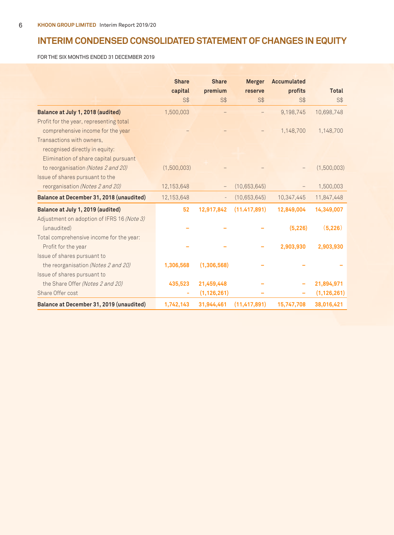## **Interim CONDENSED CONSOLIDATED STATEMENT OF CHANGES IN EQUITY**

FOR THE SIX MONTHS ENDED 31 DECEMBER 2019

|                                            | <b>Share</b> | <b>Share</b>      | <b>Merger</b>  | <b>Accumulated</b> |               |
|--------------------------------------------|--------------|-------------------|----------------|--------------------|---------------|
|                                            | capital      | premium           | reserve        | profits            | <b>Total</b>  |
|                                            | $S$ \$       | $S$ \$            | $S$ \$         | $S$ \$             | $S$ \$        |
| Balance at July 1, 2018 (audited)          | 1,500,003    |                   |                | 9,198,745          | 10,698,748    |
| Profit for the year, representing total    |              |                   |                |                    |               |
| comprehensive income for the year          |              |                   |                | 1,148,700          | 1,148,700     |
| Transactions with owners,                  |              |                   |                |                    |               |
| recognised directly in equity:             |              |                   |                |                    |               |
| Elimination of share capital pursuant      |              |                   |                |                    |               |
| to reorganisation (Notes 2 and 20)         | (1,500,003)  |                   |                |                    | (1,500,003)   |
| Issue of shares pursuant to the            |              |                   |                |                    |               |
| reorganisation (Notes 2 and 20)            | 12,153,648   |                   | (10,653,645)   |                    | 1,500,003     |
| Balance at December 31, 2018 (unaudited)   | 12,153,648   | $\qquad \qquad -$ | (10,653,645)   | 10,347,445         | 11,847,448    |
| Balance at July 1, 2019 (audited)          | 52           | 12,917,842        | (11.417, 891)  | 12,849,004         | 14,349,007    |
| Adjustment on adoption of IFRS 16 (Note 3) |              |                   |                |                    |               |
| (unaudited)                                |              |                   |                | (5, 226)           | (5,226)       |
| Total comprehensive income for the year:   |              |                   |                |                    |               |
| Profit for the year                        |              |                   |                | 2,903,930          | 2,903,930     |
| Issue of shares pursuant to                |              |                   |                |                    |               |
| the reorganisation (Notes 2 and 20)        | 1,306,568    | (1,306,568)       |                |                    |               |
| Issue of shares pursuant to                |              |                   |                |                    |               |
| the Share Offer (Notes 2 and 20)           | 435,523      | 21,459,448        |                |                    | 21,894,971    |
| Share Offer cost                           | ۰            | (1, 126, 261)     |                |                    | (1, 126, 261) |
| Balance at December 31, 2019 (unaudited)   | 1,742,143    | 31,944,461        | (11, 417, 891) | 15,747,708         | 38,016,421    |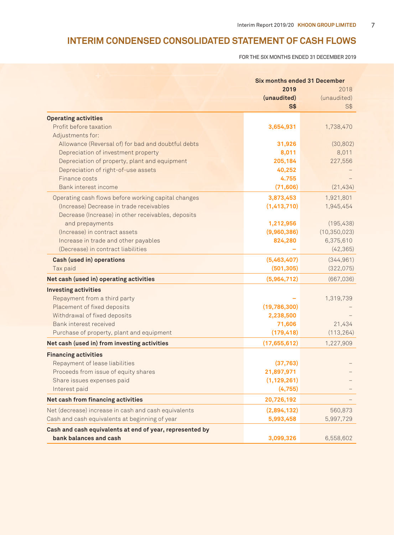## **Interim CONDENSED CONSOLIDATED STATEMENT OF CASH FLOWS**

FOR THE SIX MONTHS ENDED 31 DECEMBER 2019

|                                                          |                | <b>Six months ended 31 December</b> |  |
|----------------------------------------------------------|----------------|-------------------------------------|--|
|                                                          | 2019           | 2018                                |  |
|                                                          | (unaudited)    | (unaudited)                         |  |
|                                                          | S <sub>3</sub> | S\$                                 |  |
| <b>Operating activities</b>                              |                |                                     |  |
| Profit before taxation                                   | 3,654,931      | 1,738,470                           |  |
| Adjustments for:                                         |                |                                     |  |
| Allowance (Reversal of) for bad and doubtful debts       | 31,926         | (30, 802)                           |  |
| Depreciation of investment property                      | 8,011          | 8,011                               |  |
| Depreciation of property, plant and equipment            | 205,184        | 227,556                             |  |
| Depreciation of right-of-use assets                      | 40,252         |                                     |  |
| Finance costs                                            | 4.755          |                                     |  |
| Bank interest income                                     | (71, 606)      | (21, 434)                           |  |
| Operating cash flows before working capital changes      | 3,873,453      | 1,921,801                           |  |
| (Increase) Decrease in trade receivables                 | (1,413,710)    | 1,945,454                           |  |
| Decrease (Increase) in other receivables, deposits       |                |                                     |  |
| and prepayments                                          | 1,212,956      | (195, 438)                          |  |
| (Increase) in contract assets                            | (9,960,386)    | (10, 350, 023)                      |  |
| Increase in trade and other payables                     | 824,280        | 6,375,610                           |  |
| (Decrease) in contract liabilities                       |                | (42, 365)                           |  |
| Cash (used in) operations                                | (5,463,407)    | (344, 961)                          |  |
| Tax paid                                                 | (501, 305)     | (322,075)                           |  |
| Net cash (used in) operating activities                  | (5,964,712)    | (667, 036)                          |  |
| <b>Investing activities</b>                              |                |                                     |  |
| Repayment from a third party                             |                | 1,319,739                           |  |
| Placement of fixed deposits                              | (19,786,300)   |                                     |  |
| Withdrawal of fixed deposits                             | 2,238,500      |                                     |  |
| Bank interest received                                   | 71,606         | 21,434                              |  |
| Purchase of property, plant and equipment                | (179, 418)     | (113, 264)                          |  |
| Net cash (used in) from investing activities             | (17,655,612)   | 1,227,909                           |  |
| <b>Financing activities</b>                              |                |                                     |  |
| Repayment of lease liabilities                           | (37,763)       |                                     |  |
| Proceeds from issue of equity shares                     | 21,897,971     |                                     |  |
| Share issues expenses paid                               | (1, 129, 261)  |                                     |  |
| Interest paid                                            | (4,755)        |                                     |  |
| Net cash from financing activities                       | 20,726,192     |                                     |  |
| Net (decrease) increase in cash and cash equivalents     | (2,894,132)    | 560,873                             |  |
| Cash and cash equivalents at beginning of year           | 5,993,458      | 5,997,729                           |  |
| Cash and cash equivalents at end of year, represented by |                |                                     |  |
| bank balances and cash                                   | 3,099,326      | 6,558,602                           |  |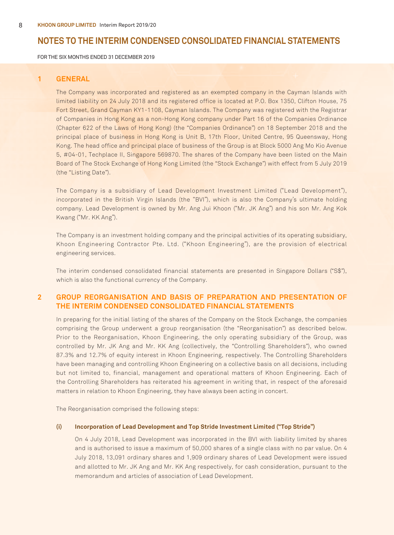FOR THE SIX MONTHS ENDED 31 DECEMBER 2019

## **1 GENERAL**

The Company was incorporated and registered as an exempted company in the Cayman Islands with limited liability on 24 July 2018 and its registered office is located at P.O. Box 1350, Clifton House, 75 Fort Street, Grand Cayman KY1-1108, Cayman Islands. The Company was registered with the Registrar of Companies in Hong Kong as a non-Hong Kong company under Part 16 of the Companies Ordinance (Chapter 622 of the Laws of Hong Kong) (the "Companies Ordinance") on 18 September 2018 and the principal place of business in Hong Kong is Unit B, 17th Floor, United Centre, 95 Queensway, Hong Kong. The head office and principal place of business of the Group is at Block 5000 Ang Mo Kio Avenue 5, #04-01, Techplace II, Singapore 569870. The shares of the Company have been listed on the Main Board of The Stock Exchange of Hong Kong Limited (the "Stock Exchange") with effect from 5 July 2019 (the "Listing Date").

The Company is a subsidiary of Lead Development Investment Limited ("Lead Development"), incorporated in the British Virgin Islands (the "BVI"), which is also the Company's ultimate holding company. Lead Development is owned by Mr. Ang Jui Khoon ("Mr. JK Ang") and his son Mr. Ang Kok Kwang ("Mr. KK Ang").

The Company is an investment holding company and the principal activities of its operating subsidiary, Khoon Engineering Contractor Pte. Ltd. ("Khoon Engineering"), are the provision of electrical engineering services.

The interim condensed consolidated financial statements are presented in Singapore Dollars ("S\$"), which is also the functional currency of the Company.

## **2 GROUP REORGANISATION AND BASIS OF PREPARATION AND PRESENTATION OF THE INTERIM CONDENSED CONSOLIDATED FINANCIAL STATEMENTS**

In preparing for the initial listing of the shares of the Company on the Stock Exchange, the companies comprising the Group underwent a group reorganisation (the "Reorganisation") as described below. Prior to the Reorganisation, Khoon Engineering, the only operating subsidiary of the Group, was controlled by Mr. JK Ang and Mr. KK Ang (collectively, the "Controlling Shareholders"), who owned 87.3% and 12.7% of equity interest in Khoon Engineering, respectively. The Controlling Shareholders have been managing and controlling Khoon Engineering on a collective basis on all decisions, including but not limited to, financial, management and operational matters of Khoon Engineering. Each of the Controlling Shareholders has reiterated his agreement in writing that, in respect of the aforesaid matters in relation to Khoon Engineering, they have always been acting in concert.

The Reorganisation comprised the following steps:

#### **(i) Incorporation of Lead Development and Top Stride Investment Limited ("Top Stride")**

On 4 July 2018, Lead Development was incorporated in the BVI with liability limited by shares and is authorised to issue a maximum of 50,000 shares of a single class with no par value. On 4 July 2018, 13,091 ordinary shares and 1,909 ordinary shares of Lead Development were issued and allotted to Mr. JK Ang and Mr. KK Ang respectively, for cash consideration, pursuant to the memorandum and articles of association of Lead Development.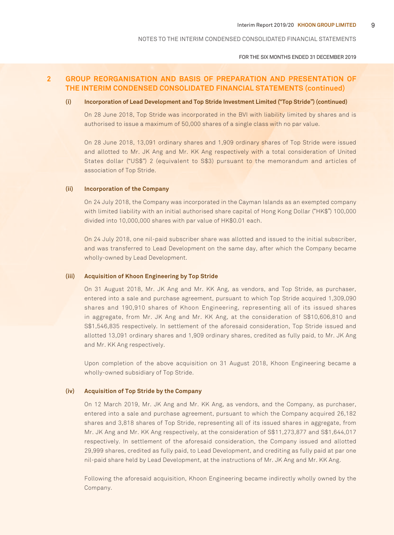FOR THE SIX MONTHS ENDED 31 DECEMBER 2019

## **2 GROUP REORGANISATION AND BASIS OF PREPARATION AND PRESENTATION OF THE INTERIM CONDENSED CONSOLIDATED FINANCIAL STATEMENTS (continued)**

#### **(i) Incorporation of Lead Development and Top Stride Investment Limited ("Top Stride") (continued)**

On 28 June 2018, Top Stride was incorporated in the BVI with liability limited by shares and is authorised to issue a maximum of 50,000 shares of a single class with no par value.

On 28 June 2018, 13,091 ordinary shares and 1,909 ordinary shares of Top Stride were issued and allotted to Mr. JK Ang and Mr. KK Ang respectively with a total consideration of United States dollar ("US\$") 2 (equivalent to S\$3) pursuant to the memorandum and articles of association of Top Stride.

#### **(ii) Incorporation of the Company**

On 24 July 2018, the Company was incorporated in the Cayman Islands as an exempted company with limited liability with an initial authorised share capital of Hong Kong Dollar ("HK\$") 100,000 divided into 10,000,000 shares with par value of HK\$0.01 each.

On 24 July 2018, one nil-paid subscriber share was allotted and issued to the initial subscriber, and was transferred to Lead Development on the same day, after which the Company became wholly-owned by Lead Development.

#### **(iii) Acquisition of Khoon Engineering by Top Stride**

On 31 August 2018, Mr. JK Ang and Mr. KK Ang, as vendors, and Top Stride, as purchaser, entered into a sale and purchase agreement, pursuant to which Top Stride acquired 1,309,090 shares and 190,910 shares of Khoon Engineering, representing all of its issued shares in aggregate, from Mr. JK Ang and Mr. KK Ang, at the consideration of S\$10,606,810 and S\$1,546,835 respectively. In settlement of the aforesaid consideration, Top Stride issued and allotted 13,091 ordinary shares and 1,909 ordinary shares, credited as fully paid, to Mr. JK Ang and Mr. KK Ang respectively.

Upon completion of the above acquisition on 31 August 2018, Khoon Engineering became a wholly-owned subsidiary of Top Stride.

#### **(iv) Acquisition of Top Stride by the Company**

On 12 March 2019, Mr. JK Ang and Mr. KK Ang, as vendors, and the Company, as purchaser, entered into a sale and purchase agreement, pursuant to which the Company acquired 26,182 shares and 3,818 shares of Top Stride, representing all of its issued shares in aggregate, from Mr. JK Ang and Mr. KK Ang respectively, at the consideration of S\$11,273,877 and S\$1,644,017 respectively. In settlement of the aforesaid consideration, the Company issued and allotted 29,999 shares, credited as fully paid, to Lead Development, and crediting as fully paid at par one nil-paid share held by Lead Development, at the instructions of Mr. JK Ang and Mr. KK Ang.

Following the aforesaid acquisition, Khoon Engineering became indirectly wholly owned by the Company.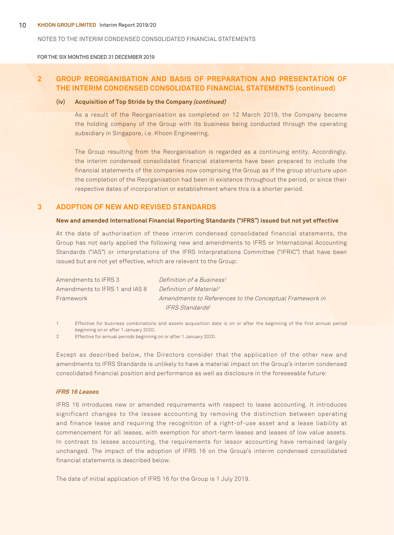FOR THE SIX MONTHS ENDED 31 DECEMBER 2019

## **2 GROUP REORGANISATION AND BASIS OF PREPARATION AND PRESENTATION OF THE INTERIM CONDENSED CONSOLIDATED FINANCIAL STATEMENTS (continued)**

#### **(iv) Acquisition of Top Stride by the Company (continued)**

As a result of the Reorganisation as completed on 12 March 2019, the Company became the holding company of the Group with its business being conducted through the operating subsidiary in Singapore, i.e. Khoon Engineering.

The Group resulting from the Reorganisation is regarded as a continuing entity. Accordingly, the interim condensed consolidated financial statements have been prepared to include the financial statements of the companies now comprising the Group as if the group structure upon the completion of the Reorganisation had been in existence throughout the period, or since their respective dates of incorporation or establishment where this is a shorter period.

## **3 ADOPTION OF NEW AND REVISED STANDARDS**

#### **New and amended International Financial Reporting Standards ("IFRS") issued but not yet effective**

At the date of authorisation of these interim condensed consolidated financial statements, the Group has not early applied the following new and amendments to IFRS or International Accounting Standards ("IAS") or interpretations of the IFRS Interpretations Committee ("IFRIC") that have been issued but are not yet effective, which are relevant to the Group:

| Amendments to IFRS 3           | Definition of a Business <sup>1</sup>                   |
|--------------------------------|---------------------------------------------------------|
| Amendments to IFRS 1 and IAS 8 | Definition of Material <sup>2</sup>                     |
| Framework                      | Amendments to References to the Conceptual Framework in |
|                                | IFRS Standards <sup>2</sup>                             |

1 Effective for business combinations and assets acquisition date is on or after the beginning of the first annual period beginning on or after 1 January 2020.

2 Effective for annual periods beginning on or after 1 January 2020.

Except as described below, the Directors consider that the application of the other new and amendments to IFRS Standards is unlikely to have a material impact on the Group's interim condensed consolidated financial position and performance as well as disclosure in the foreseeable future:

#### **IFRS 16 Leases**

IFRS 16 introduces new or amended requirements with respect to lease accounting. It introduces significant changes to the lessee accounting by removing the distinction between operating and finance lease and requiring the recognition of a right-of-use asset and a lease liability at commencement for all leases, with exemption for short-term leases and leases of low value assets. In contrast to lessee accounting, the requirements for lessor accounting have remained largely unchanged. The impact of the adoption of IFRS 16 on the Group's interim condensed consolidated financial statements is described below.

The date of initial application of IFRS 16 for the Group is 1 July 2019.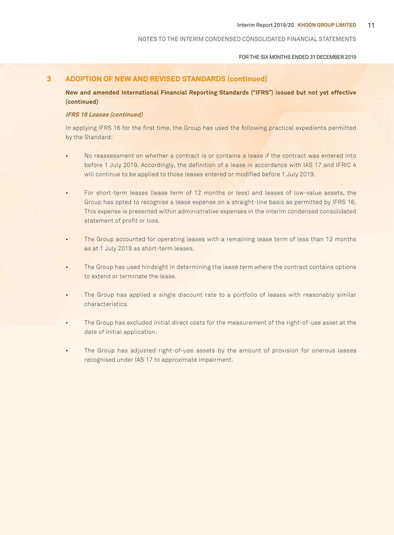#### FOR THE SIX MONTHS ENDED 31 DECEMBER 2019

## **3 ADOPTION OF NEW AND REVISED STANDARDS (continued)**

**New and amended International Financial Reporting Standards ("IFRS") issued but not yet effective (continued)**

#### **IFRS 16 Leases (continued)**

In applying IFRS 16 for the first time, the Group has used the following practical expedients permitted by the Standard:

- No reassessment on whether a contract is or contains a lease if the contract was entered into before 1 July 2019. Accordingly, the definition of a lease in accordance with IAS 17 and IFRIC 4 will continue to be applied to those leases entered or modified before 1 July 2019.
- For short-term leases (lease term of 12 months or less) and leases of low-value assets, the Group has opted to recognise a lease expense on a straight-line basis as permitted by IFRS 16. This expense is presented within administrative expenses in the interim condensed consolidated statement of profit or loss.
- The Group accounted for operating leases with a remaining lease term of less than 12 months as at 1 July 2019 as short-term leases.
- The Group has used hindsight in determining the lease term where the contract contains options to extend or terminate the lease.
- The Group has applied a single discount rate to a portfolio of leases with reasonably similar characteristics.
- The Group has excluded initial direct costs for the measurement of the right-of-use asset at the date of initial application.
- The Group has adjusted right-of-use assets by the amount of provision for onerous leases recognised under IAS 17 to approximate impairment.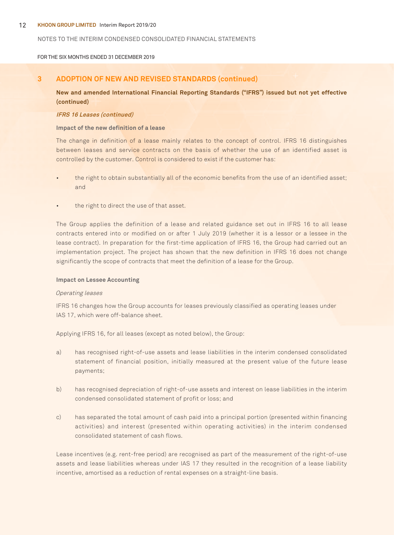#### 12 **Khoon Group Limited** Interim Report 2019/20

#### NOTES TO THE Interim CONDENSED CONSOLIDATED FINANCIAL STATEMENTS

#### FOR THE SIX MONTHS ENDED 31 DECEMBER 2019

## **3 ADOPTION OF NEW AND REVISED STANDARDS (continued)**

**New and amended International Financial Reporting Standards ("IFRS") issued but not yet effective (continued)**

#### **IFRS 16 Leases (continued)**

**Impact of the new definition of a lease**

The change in definition of a lease mainly relates to the concept of control. IFRS 16 distinguishes between leases and service contracts on the basis of whether the use of an identified asset is controlled by the customer. Control is considered to exist if the customer has:

- the right to obtain substantially all of the economic benefits from the use of an identified asset; and
- the right to direct the use of that asset.

The Group applies the definition of a lease and related guidance set out in IFRS 16 to all lease contracts entered into or modified on or after 1 July 2019 (whether it is a lessor or a lessee in the lease contract). In preparation for the first-time application of IFRS 16, the Group had carried out an implementation project. The project has shown that the new definition in IFRS 16 does not change significantly the scope of contracts that meet the definition of a lease for the Group.

#### **Impact on Lessee Accounting**

#### Operating leases

IFRS 16 changes how the Group accounts for leases previously classified as operating leases under IAS 17, which were off-balance sheet.

Applying IFRS 16, for all leases (except as noted below), the Group:

- a) has recognised right-of-use assets and lease liabilities in the interim condensed consolidated statement of financial position, initially measured at the present value of the future lease payments;
- b) has recognised depreciation of right-of-use assets and interest on lease liabilities in the interim condensed consolidated statement of profit or loss; and
- c) has separated the total amount of cash paid into a principal portion (presented within financing activities) and interest (presented within operating activities) in the interim condensed consolidated statement of cash flows.

Lease incentives (e.g. rent-free period) are recognised as part of the measurement of the right-of-use assets and lease liabilities whereas under IAS 17 they resulted in the recognition of a lease liability incentive, amortised as a reduction of rental expenses on a straight-line basis.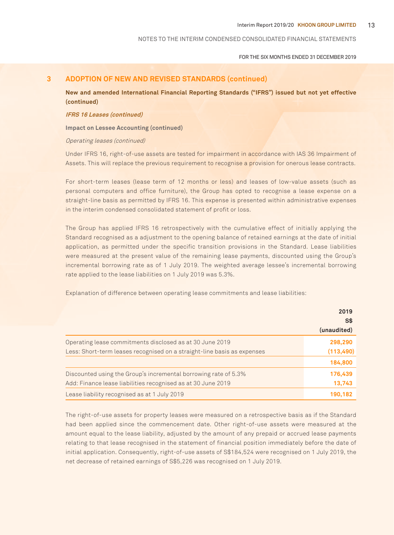FOR THE SIX MONTHS ENDED 31 DECEMBER 2019

## **3 ADOPTION OF NEW AND REVISED STANDARDS (continued)**

**New and amended International Financial Reporting Standards ("IFRS") issued but not yet effective (continued)**

#### **IFRS 16 Leases (continued)**

**Impact on Lessee Accounting (continued)**

#### Operating leases (continued)

Under IFRS 16, right-of-use assets are tested for impairment in accordance with IAS 36 Impairment of Assets. This will replace the previous requirement to recognise a provision for onerous lease contracts.

For short-term leases (lease term of 12 months or less) and leases of low-value assets (such as personal computers and office furniture), the Group has opted to recognise a lease expense on a straight-line basis as permitted by IFRS 16. This expense is presented within administrative expenses in the interim condensed consolidated statement of profit or loss.

The Group has applied IFRS 16 retrospectively with the cumulative effect of initially applying the Standard recognised as a adjustment to the opening balance of retained earnings at the date of initial application, as permitted under the specific transition provisions in the Standard. Lease liabilities were measured at the present value of the remaining lease payments, discounted using the Group's incremental borrowing rate as of 1 July 2019. The weighted average lessee's incremental borrowing rate applied to the lease liabilities on 1 July 2019 was 5.3%.

Explanation of difference between operating lease commitments and lease liabilities:

|                                                                         | 2019<br><b>S\$</b> |
|-------------------------------------------------------------------------|--------------------|
|                                                                         | (unaudited)        |
| Operating lease commitments disclosed as at 30 June 2019                | 298,290            |
| Less: Short-term leases recognised on a straight-line basis as expenses | (113, 490)         |
|                                                                         | 184,800            |
| Discounted using the Group's incremental borrowing rate of 5.3%         | 176,439            |
| Add: Finance lease liabilities recognised as at 30 June 2019            | 13,743             |
| Lease liability recognised as at 1 July 2019                            | 190,182            |

The right-of-use assets for property leases were measured on a retrospective basis as if the Standard had been applied since the commencement date. Other right-of-use assets were measured at the amount equal to the lease liability, adjusted by the amount of any prepaid or accrued lease payments relating to that lease recognised in the statement of financial position immediately before the date of initial application. Consequently, right-of-use assets of S\$184,524 were recognised on 1 July 2019, the net decrease of retained earnings of S\$5,226 was recognised on 1 July 2019.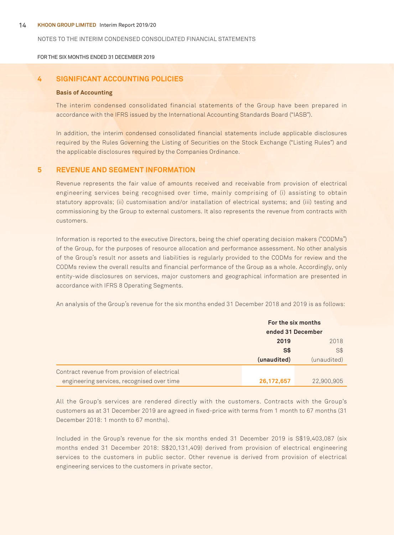#### 14 **Khoon Group Limited** Interim Report 2019/20

#### NOTES TO THE Interim CONDENSED CONSOLIDATED FINANCIAL STATEMENTS

FOR THE SIX MONTHS ENDED 31 DECEMBER 2019

## **4 SIGNIFICANT ACCOUNTING POLICIES**

#### **Basis of Accounting**

The interim condensed consolidated financial statements of the Group have been prepared in accordance with the IFRS issued by the International Accounting Standards Board ("IASB").

In addition, the interim condensed consolidated financial statements include applicable disclosures required by the Rules Governing the Listing of Securities on the Stock Exchange ("Listing Rules") and the applicable disclosures required by the Companies Ordinance.

## **5 REVENUE AND SEGMENT INFORMATION**

Revenue represents the fair value of amounts received and receivable from provision of electrical engineering services being recognised over time, mainly comprising of (i) assisting to obtain statutory approvals; (ii) customisation and/or installation of electrical systems; and (iii) testing and commissioning by the Group to external customers. It also represents the revenue from contracts with customers.

Information is reported to the executive Directors, being the chief operating decision makers ("CODMs") of the Group, for the purposes of resource allocation and performance assessment. No other analysis of the Group's result nor assets and liabilities is regularly provided to the CODMs for review and the CODMs review the overall results and financial performance of the Group as a whole. Accordingly, only entity-wide disclosures on services, major customers and geographical information are presented in accordance with IFRS 8 Operating Segments.

An analysis of the Group's revenue for the six months ended 31 December 2018 and 2019 is as follows:

|                                               | For the six months<br>ended 31 December |             |
|-----------------------------------------------|-----------------------------------------|-------------|
|                                               | 2019                                    | 2018        |
|                                               | S\$                                     | S\$         |
|                                               | (unaudited)                             | (unaudited) |
| Contract revenue from provision of electrical |                                         |             |
| engineering services, recognised over time    | 26,172,657                              | 22,900,905  |

All the Group's services are rendered directly with the customers. Contracts with the Group's customers as at 31 December 2019 are agreed in fixed-price with terms from 1 month to 67 months (31 December 2018: 1 month to 67 months).

Included in the Group's revenue for the six months ended 31 December 2019 is S\$19,403,087 (six months ended 31 December 2018: S\$20,131,409) derived from provision of electrical engineering services to the customers in public sector. Other revenue is derived from provision of electrical engineering services to the customers in private sector.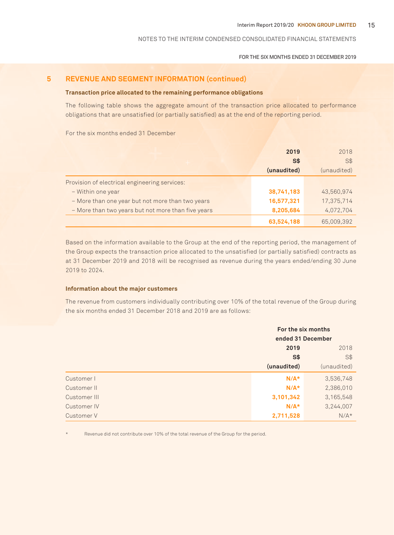#### FOR THE SIX MONTHS ENDED 31 DECEMBER 2019

## **5 REVENUE AND SEGMENT INFORMATION (continued)**

## **Transaction price allocated to the remaining performance obligations**

The following table shows the aggregate amount of the transaction price allocated to performance obligations that are unsatisfied (or partially satisfied) as at the end of the reporting period.

For the six months ended 31 December

|                                                    | 2019        | 2018        |
|----------------------------------------------------|-------------|-------------|
|                                                    | S\$         | <b>S\$</b>  |
|                                                    | (unaudited) | (unaudited) |
| Provision of electrical engineering services:      |             |             |
| - Within one year                                  | 38,741,183  | 43,560,974  |
| - More than one year but not more than two years   | 16,577,321  | 17,375,714  |
| - More than two years but not more than five years | 8,205,684   | 4,072,704   |
|                                                    | 63,524,188  | 65,009,392  |

Based on the information available to the Group at the end of the reporting period, the management of the Group expects the transaction price allocated to the unsatisfied (or partially satisfied) contracts as at 31 December 2019 and 2018 will be recognised as revenue during the years ended/ending 30 June 2019 to 2024.

## **Information about the major customers**

The revenue from customers individually contributing over 10% of the total revenue of the Group during the six months ended 31 December 2018 and 2019 are as follows:

|              | For the six months<br>ended 31 December |             |
|--------------|-----------------------------------------|-------------|
|              | 2019                                    | 2018        |
|              | S <sub>5</sub>                          | S\$         |
|              | (unaudited)                             | (unaudited) |
| Customer I   | $N/A*$                                  | 3,536,748   |
| Customer II  | $N/A*$                                  | 2,386,010   |
| Customer III | 3,101,342                               | 3,165,548   |
| Customer IV  | $N/A*$                                  | 3,244,007   |
| Customer V   | 2,711,528                               | $N/A*$      |

Revenue did not contribute over 10% of the total revenue of the Group for the period.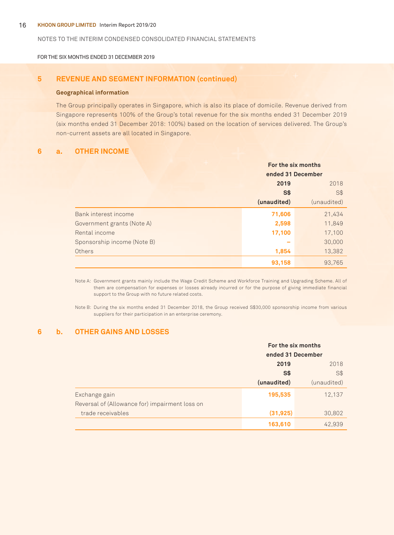#### 16 **Khoon Group Limited** Interim Report 2019/20

#### NOTES TO THE Interim CONDENSED CONSOLIDATED FINANCIAL STATEMENTS

FOR THE SIX MONTHS ENDED 31 DECEMBER 2019

## **5 REVENUE AND SEGMENT INFORMATION (continued)**

#### **Geographical information**

The Group principally operates in Singapore, which is also its place of domicile. Revenue derived from Singapore represents 100% of the Group's total revenue for the six months ended 31 December 2019 (six months ended 31 December 2018: 100%) based on the location of services delivered. The Group's non-current assets are all located in Singapore.

## **6 a. OTHER INCOME**

|                             | For the six months |             |
|-----------------------------|--------------------|-------------|
|                             | ended 31 December  |             |
|                             | 2019               | 2018        |
|                             | S\$                | S\$         |
|                             | (unaudited)        | (unaudited) |
| Bank interest income        | 71,606             | 21,434      |
| Government grants (Note A)  | 2,598              | 11,849      |
| Rental income               | 17,100             | 17,100      |
| Sponsorship income (Note B) |                    | 30,000      |
| Others                      | 1,854              | 13,382      |
|                             | 93,158             | 93,765      |

Note A: Government grants mainly include the Wage Credit Scheme and Workforce Training and Upgrading Scheme. All of them are compensation for expenses or losses already incurred or for the purpose of giving immediate financial support to the Group with no future related costs.

Note B: During the six months ended 31 December 2018, the Group received S\$30,000 sponsorship income from various suppliers for their participation in an enterprise ceremony.

## **6 b. OTHER GAINS AND LOSSES**

|                                                | For the six months<br>ended 31 December |             |
|------------------------------------------------|-----------------------------------------|-------------|
|                                                |                                         |             |
|                                                | 2019                                    | 2018        |
|                                                | S <sub>3</sub>                          | $S$ \$      |
|                                                | (unaudited)                             | (unaudited) |
| Exchange gain                                  | 195,535                                 | 12,137      |
| Reversal of (Allowance for) impairment loss on |                                         |             |
| trade receivables                              | (31, 925)                               | 30,802      |
|                                                | 163,610                                 | 42.939      |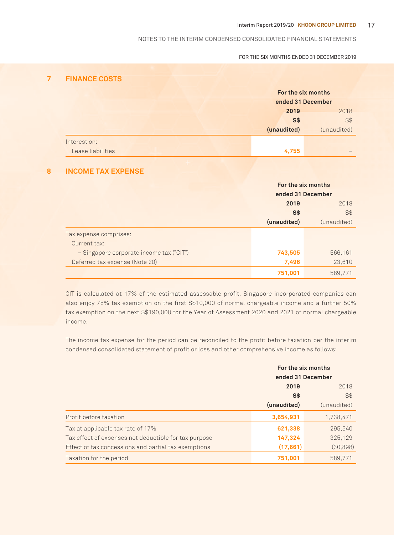## FOR THE SIX MONTHS ENDED 31 DECEMBER 2019

## **7 FINANCE COSTS**

|                   | For the six months |             |
|-------------------|--------------------|-------------|
|                   | ended 31 December  |             |
|                   | 2019               | 2018        |
|                   | <b>S\$</b>         | $S$ \$      |
|                   | (unaudited)        | (unaudited) |
| Interest on:      |                    |             |
| Lease liabilities | 4,755              |             |

## **8 INCOME TAX EXPENSE**

|                                          | For the six months |                   |
|------------------------------------------|--------------------|-------------------|
|                                          |                    | ended 31 December |
|                                          | 2019               | 2018              |
|                                          | <b>S\$</b>         | S\$               |
|                                          | (unaudited)        | (unaudited)       |
| Tax expense comprises:                   |                    |                   |
| Current tax:                             |                    |                   |
| - Singapore corporate income tax ("CIT") | 743,505            | 566,161           |
| Deferred tax expense (Note 20)           | 7,496              | 23,610            |
|                                          | 751,001            | 589,771           |

CIT is calculated at 17% of the estimated assessable profit. Singapore incorporated companies can also enjoy 75% tax exemption on the first S\$10,000 of normal chargeable income and a further 50% tax exemption on the next S\$190,000 for the Year of Assessment 2020 and 2021 of normal chargeable income.

The income tax expense for the period can be reconciled to the profit before taxation per the interim condensed consolidated statement of profit or loss and other comprehensive income as follows:

|                                                       | For the six months<br>ended 31 December |             |
|-------------------------------------------------------|-----------------------------------------|-------------|
|                                                       | 2019                                    | 2018        |
|                                                       | S\$                                     | S\$         |
|                                                       | (unaudited)                             | (unaudited) |
| Profit before taxation                                | 3,654,931                               | 1,738,471   |
| Tax at applicable tax rate of 17%                     | 621,338                                 | 295,540     |
| Tax effect of expenses not deductible for tax purpose | 147,324                                 | 325,129     |
| Effect of tax concessions and partial tax exemptions  | (17, 661)                               | (30,898)    |
| Taxation for the period                               | 751.001                                 | 589.771     |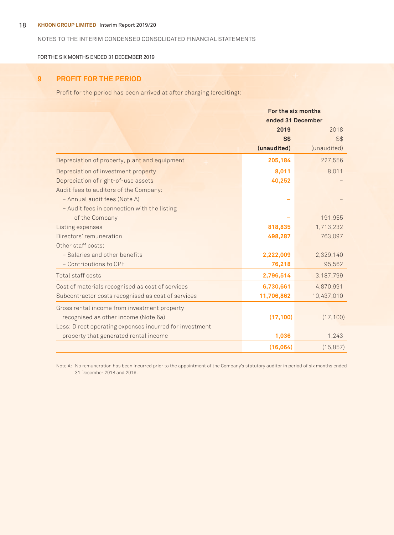## 18 **Khoon Group Limited** Interim Report 2019/20

## NOTES TO THE Interim CONDENSED CONSOLIDATED FINANCIAL STATEMENTS

FOR THE SIX MONTHS ENDED 31 DECEMBER 2019

## **9 PROFIT FOR THE PERIOD**

Profit for the period has been arrived at after charging (crediting):

|                                                         | For the six months |             |  |
|---------------------------------------------------------|--------------------|-------------|--|
|                                                         | ended 31 December  |             |  |
|                                                         | 2019               | 2018        |  |
|                                                         | S <sub>3</sub>     | S\$         |  |
|                                                         | (unaudited)        | (unaudited) |  |
| Depreciation of property, plant and equipment           | 205,184            | 227,556     |  |
| Depreciation of investment property                     | 8,011              | 8,011       |  |
| Depreciation of right-of-use assets                     | 40,252             |             |  |
| Audit fees to auditors of the Company:                  |                    |             |  |
| - Annual audit fees (Note A)                            |                    |             |  |
| - Audit fees in connection with the listing             |                    |             |  |
| of the Company                                          |                    | 191,955     |  |
| Listing expenses                                        | 818,835            | 1,713,232   |  |
| Directors' remuneration                                 | 498,287            | 763,097     |  |
| Other staff costs:                                      |                    |             |  |
| - Salaries and other benefits                           | 2,222,009          | 2,329,140   |  |
| - Contributions to CPF                                  | 76,218             | 95,562      |  |
| Total staff costs                                       | 2,796,514          | 3,187,799   |  |
| Cost of materials recognised as cost of services        | 6,730,661          | 4,870,991   |  |
| Subcontractor costs recognised as cost of services      | 11,706,862         | 10,437,010  |  |
| Gross rental income from investment property            |                    |             |  |
| recognised as other income (Note 6a)                    | (17, 100)          | (17, 100)   |  |
| Less: Direct operating expenses incurred for investment |                    |             |  |
| property that generated rental income                   | 1,036              | 1,243       |  |
|                                                         | (16,064)           | (15, 857)   |  |

Note A: No remuneration has been incurred prior to the appointment of the Company's statutory auditor in period of six months ended 31 December 2018 and 2019.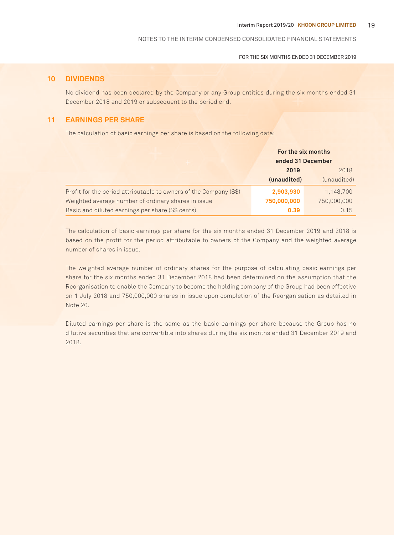FOR THE SIX MONTHS ENDED 31 DECEMBER 2019

## **10 DIVIDENDS**

No dividend has been declared by the Company or any Group entities during the six months ended 31 December 2018 and 2019 or subsequent to the period end.

## **11 EARNINGS PER SHARE**

The calculation of basic earnings per share is based on the following data:

|                                                                   | For the six months<br>ended 31 December |             |
|-------------------------------------------------------------------|-----------------------------------------|-------------|
|                                                                   | 2019                                    | 2018        |
|                                                                   | (unaudited)                             | (unaudited) |
| Profit for the period attributable to owners of the Company (S\$) | 2,903,930                               | 1,148,700   |
| Weighted average number of ordinary shares in issue               | 750,000,000                             | 750,000,000 |
| Basic and diluted earnings per share (S\$ cents)                  | 0.39                                    | 0.15        |

The calculation of basic earnings per share for the six months ended 31 December 2019 and 2018 is based on the profit for the period attributable to owners of the Company and the weighted average number of shares in issue.

The weighted average number of ordinary shares for the purpose of calculating basic earnings per share for the six months ended 31 December 2018 had been determined on the assumption that the Reorganisation to enable the Company to become the holding company of the Group had been effective on 1 July 2018 and 750,000,000 shares in issue upon completion of the Reorganisation as detailed in Note 20.

Diluted earnings per share is the same as the basic earnings per share because the Group has no dilutive securities that are convertible into shares during the six months ended 31 December 2019 and 2018.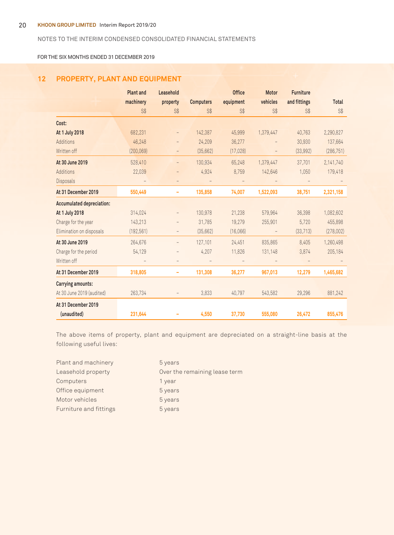FOR THE SIX MONTHS ENDED 31 DECEMBER 2019

## **12 PROPERTY, PLANT AND EQUIPMENT**

|                                  | <b>Plant and</b> | Leasehold                |                  | <b>Office</b> | <b>Motor</b>      | <b>Furniture</b> |              |
|----------------------------------|------------------|--------------------------|------------------|---------------|-------------------|------------------|--------------|
|                                  | machinery        | property                 | <b>Computers</b> | equipment     | vehicles          | and fittings     | <b>Total</b> |
|                                  | S <sup>†</sup>   | S\$                      | S\$              | S\$           | S\$               | S\$              | S\$          |
| Cost:                            |                  |                          |                  |               |                   |                  |              |
| At 1 July 2018                   | 682,231          | $\overline{\phantom{a}}$ | 142,387          | 45,999        | 1,379,447         | 40,763           | 2,290,827    |
| Additions                        | 46,248           | $\overline{\phantom{a}}$ | 24,209           | 36,277        |                   | 30,930           | 137,664      |
| Written off                      | (200, 069)       | $\qquad \qquad -$        | (35,662)         | (17, 028)     |                   | (33,992)         | (286, 751)   |
| At 30 June 2019                  | 528,410          | $\qquad \qquad -$        | 130,934          | 65,248        | 1,379,447         | 37,701           | 2,141,740    |
| Additions                        | 22,039           | $\qquad \qquad -$        | 4,924            | 8,759         | 142,646           | 1,050            | 179,418      |
| <b>Disposals</b>                 |                  | $\overline{\phantom{a}}$ |                  |               |                   |                  |              |
| At 31 December 2019              | 550,449          | ۰                        | 135,858          | 74,007        | 1,522,093         | 38,751           | 2,321,158    |
| <b>Accumulated depreciation:</b> |                  |                          |                  |               |                   |                  |              |
| At 1 July 2018                   | 314,024          | $\qquad \qquad -$        | 130.978          | 21.238        | 579.964           | 36,398           | 1,082,602    |
| Charge for the year              | 143,213          | $\qquad \qquad -$        | 31,785           | 19,279        | 255,901           | 5,720            | 455,898      |
| Elimination on disposals         | (192, 561)       | $\overline{\phantom{a}}$ | (35,662)         | (16,066)      | $\qquad \qquad -$ | (33, 713)        | (278,002)    |
| At 30 June 2019                  | 264,676          | $\overline{\phantom{a}}$ | 127,101          | 24,451        | 835,865           | 8,405            | 1,260,498    |
| Charge for the period            | 54,129           |                          | 4,207            | 11,826        | 131,148           | 3,874            | 205,184      |
| Written off                      |                  |                          |                  |               |                   |                  |              |
| At 31 December 2019              | 318,805          | ۰                        | 131,308          | 36,277        | 967,013           | 12,279           | 1,465,682    |
| Carrying amounts:                |                  |                          |                  |               |                   |                  |              |
| At 30 June 2019 (audited)        | 263,734          | $\overline{\phantom{a}}$ | 3,833            | 40,797        | 543,582           | 29,296           | 881,242      |
| At 31 December 2019              |                  |                          |                  |               |                   |                  |              |
| (unaudited)                      | 231,644          |                          | 4,550            | 37,730        | 555,080           | 26,472           | 855,476      |

The above items of property, plant and equipment are depreciated on a straight-line basis at the following useful lives:

| Plant and machinery    | 5 years                       |
|------------------------|-------------------------------|
| Leasehold property     | Over the remaining lease term |
| Computers              | 1 year                        |
| Office equipment       | 5 years                       |
| Motor vehicles         | 5 years                       |
| Furniture and fittings | 5 years                       |
|                        |                               |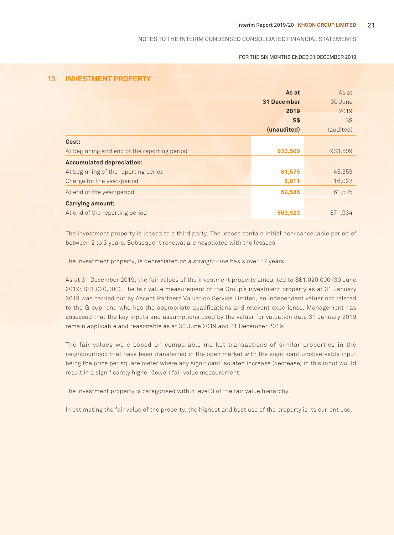#### FOR THE SIX MONTHS ENDED 31 DECEMBER 2019

## **13 INVESTMENT PROPERTY**

|                                              | As at          | As at     |
|----------------------------------------------|----------------|-----------|
|                                              | 31 December    | 30 June   |
|                                              | 2019           | 2019      |
|                                              | S <sub>3</sub> | S\$       |
|                                              | (unaudited)    | (audited) |
| Cost:                                        |                |           |
| At beginning and end of the reporting period | 933,509        | 933,509   |
| <b>Accumulated depreciation:</b>             |                |           |
| At beginning of the reporting period         | 61,575         | 45,553    |
| Charge for the year/period                   | 8,011          | 16,022    |
| At end of the year/period                    | 69,586         | 61,575    |
| <b>Carrying amount:</b>                      |                |           |
| At end of the reporting period               | 863,923        | 871,934   |

The investment property is leased to a third party. The leases contain initial non-cancellable period of between 2 to 3 years. Subsequent renewal are negotiated with the lessees.

The investment property, is depreciated on a straight-line basis over 57 years.

As at 31 December 2019, the fair values of the investment property amounted to S\$1,020,000 (30 June 2019: S\$1,020,000). The fair value measurement of the Group's investment property as at 31 January 2019 was carried out by Ascent Partners Valuation Service Limited, an independent valuer not related to the Group, and who has the appropriate qualifications and relevant experience. Management has assessed that the key inputs and assumptions used by the valuer for valuation date 31 January 2019 remain applicable and reasonable as at 30 June 2019 and 31 December 2019.

The fair values were based on comparable market transactions of similar properties in the neighbourhood that have been transferred in the open market with the significant unobservable input being the price per square meter where any significant isolated increase (decrease) in this input would result in a significantly higher (lower) fair value measurement.

The investment property is categorised within level 3 of the fair value hierarchy.

In estimating the fair value of the property, the highest and best use of the property is its current use.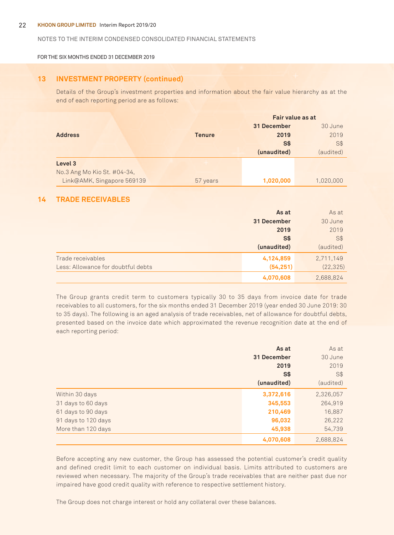#### 22 **Khoon Group Limited** Interim Report 2019/20

#### NOTES TO THE Interim CONDENSED CONSOLIDATED FINANCIAL STATEMENTS

FOR THE SIX MONTHS ENDED 31 DECEMBER 2019

## **13 INVESTMENT PROPERTY (continued)**

Details of the Group's investment properties and information about the fair value hierarchy as at the end of each reporting period are as follows:

|                             |               | Fair value as at |            |
|-----------------------------|---------------|------------------|------------|
|                             |               | 31 December      | 30 June    |
| <b>Address</b>              | <b>Tenure</b> | 2019             | 2019       |
|                             |               | S <sub>3</sub>   | <b>S\$</b> |
|                             |               | (unaudited)      | (audited)  |
| Level 3                     |               |                  |            |
| No.3 Ang Mo Kio St. #04-34, |               |                  |            |
| Link@AMK, Singapore 569139  | 57 years      | 1,020,000        | 1,020,000  |

## **14 TRADE RECEIVABLES**

|                                    | As at       | As at     |
|------------------------------------|-------------|-----------|
|                                    | 31 December | 30 June   |
|                                    | 2019        | 2019      |
|                                    | <b>S\$</b>  | S\$       |
|                                    | (unaudited) | (audited) |
| Trade receivables                  | 4,124,859   | 2,711,149 |
| Less: Allowance for doubtful debts | (54, 251)   | (22, 325) |
|                                    | 4,070,608   | 2,688,824 |

The Group grants credit term to customers typically 30 to 35 days from invoice date for trade receivables to all customers, for the six months ended 31 December 2019 (year ended 30 June 2019: 30 to 35 days). The following is an aged analysis of trade receivables, net of allowance for doubtful debts, presented based on the invoice date which approximated the revenue recognition date at the end of each reporting period:

|                     | As at       | As at     |
|---------------------|-------------|-----------|
|                     | 31 December | 30 June   |
|                     | 2019        | 2019      |
|                     | S\$         | S\$       |
|                     | (unaudited) | (audited) |
| Within 30 days      | 3,372,616   | 2,326,057 |
| 31 days to 60 days  | 345,553     | 264,919   |
| 61 days to 90 days  | 210,469     | 16,887    |
| 91 days to 120 days | 96,032      | 26,222    |
| More than 120 days  | 45,938      | 54,739    |
|                     | 4,070,608   | 2,688,824 |

Before accepting any new customer, the Group has assessed the potential customer's credit quality and defined credit limit to each customer on individual basis. Limits attributed to customers are reviewed when necessary. The majority of the Group's trade receivables that are neither past due nor impaired have good credit quality with reference to respective settlement history.

The Group does not charge interest or hold any collateral over these balances.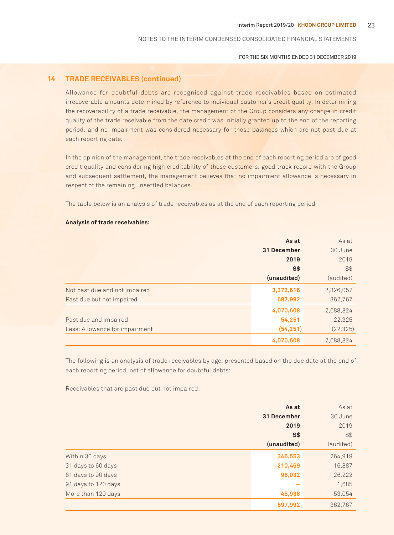FOR THE SIX MONTHS ENDED 31 DECEMBER 2019

## **14 TRADE RECEIVABLES (continued)**

Allowance for doubtful debts are recognised against trade receivables based on estimated irrecoverable amounts determined by reference to individual customer's credit quality. In determining the recoverability of a trade receivable, the management of the Group considers any change in credit quality of the trade receivable from the date credit was initially granted up to the end of the reporting period, and no impairment was considered necessary for those balances which are not past due at each reporting date.

In the opinion of the management, the trade receivables at the end of each reporting period are of good credit quality and considering high creditability of these customers, good track record with the Group and subsequent settlement, the management believes that no impairment allowance is necessary in respect of the remaining unsettled balances.

The table below is an analysis of trade receivables as at the end of each reporting period:

## **Analysis of trade receivables:**

|                                | As at       | As at     |
|--------------------------------|-------------|-----------|
|                                | 31 December | 30 June   |
|                                | 2019        | 2019      |
|                                | S\$         | S\$       |
|                                | (unaudited) | (audited) |
| Not past due and not impaired  | 3,372,616   | 2,326,057 |
| Past due but not impaired      | 697,992     | 362,767   |
|                                | 4,070,608   | 2,688,824 |
| Past due and impaired          | 54,251      | 22,325    |
| Less: Allowance for impairment | (54, 251)   | (22, 325) |
|                                | 4,070,608   | 2,688,824 |

The following is an analysis of trade receivables by age, presented based on the due date at the end of each reporting period, net of allowance for doubtful debts:

Receivables that are past due but not impaired:

|                     | As at       | As at     |
|---------------------|-------------|-----------|
|                     | 31 December | 30 June   |
|                     | 2019        | 2019      |
|                     | S\$         | S\$       |
|                     | (unaudited) | (audited) |
| Within 30 days      | 345,553     | 264,919   |
| 31 days to 60 days  | 210,469     | 16,887    |
| 61 days to 90 days  | 96,032      | 26,222    |
| 91 days to 120 days | $\sim$      | 1,685     |
| More than 120 days  | 45,938      | 53,054    |
|                     | 697,992     | 362,767   |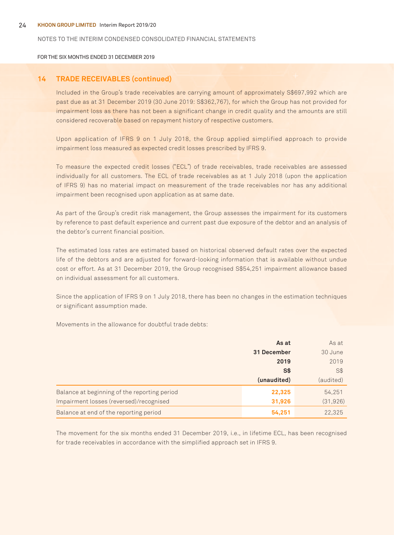FOR THE SIX MONTHS ENDED 31 DECEMBER 2019

## **14 TRADE RECEIVABLES (continued)**

Included in the Group's trade receivables are carrying amount of approximately S\$697,992 which are past due as at 31 December 2019 (30 June 2019: S\$362,767), for which the Group has not provided for impairment loss as there has not been a significant change in credit quality and the amounts are still considered recoverable based on repayment history of respective customers.

Upon application of IFRS 9 on 1 July 2018, the Group applied simplified approach to provide impairment loss measured as expected credit losses prescribed by IFRS 9.

To measure the expected credit losses ("ECL") of trade receivables, trade receivables are assessed individually for all customers. The ECL of trade receivables as at 1 July 2018 (upon the application of IFRS 9) has no material impact on measurement of the trade receivables nor has any additional impairment been recognised upon application as at same date.

As part of the Group's credit risk management, the Group assesses the impairment for its customers by reference to past default experience and current past due exposure of the debtor and an analysis of the debtor's current financial position.

The estimated loss rates are estimated based on historical observed default rates over the expected life of the debtors and are adjusted for forward-looking information that is available without undue cost or effort. As at 31 December 2019, the Group recognised S\$54,251 impairment allowance based on individual assessment for all customers.

Since the application of IFRS 9 on 1 July 2018, there has been no changes in the estimation techniques or significant assumption made.

Movements in the allowance for doubtful trade debts:

|                                              | As at       | As at     |
|----------------------------------------------|-------------|-----------|
|                                              | 31 December | 30 June   |
|                                              | 2019        | 2019      |
|                                              | S\$         | S\$       |
|                                              | (unaudited) | (audited) |
| Balance at beginning of the reporting period | 22,325      | 54,251    |
| Impairment losses (reversed)/recognised      | 31,926      | (31, 926) |
| Balance at end of the reporting period       | 54,251      | 22.325    |

The movement for the six months ended 31 December 2019, i.e., in lifetime ECL, has been recognised for trade receivables in accordance with the simplified approach set in IFRS 9.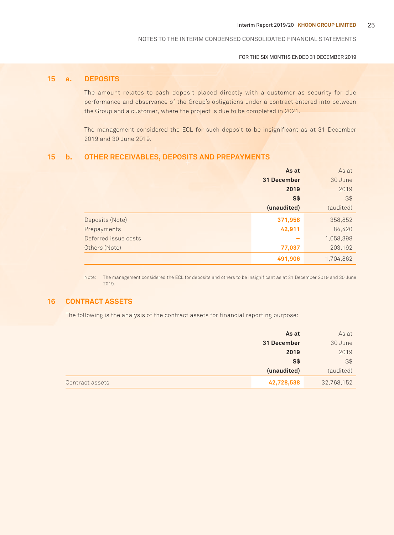FOR THE SIX MONTHS ENDED 31 DECEMBER 2019

## **15 a. DEPOSITS**

The amount relates to cash deposit placed directly with a customer as security for due performance and observance of the Group's obligations under a contract entered into between the Group and a customer, where the project is due to be completed in 2021.

The management considered the ECL for such deposit to be insignificant as at 31 December 2019 and 30 June 2019.

## **15 b. OTHER RECEIVABLES, DEPOSITS AND PREPAYMENTS**

|                      | As at       | As at     |
|----------------------|-------------|-----------|
|                      | 31 December | 30 June   |
|                      | 2019        | 2019      |
|                      | <b>S\$</b>  | $S$ \$    |
|                      | (unaudited) | (audited) |
| Deposits (Note)      | 371,958     | 358,852   |
| Prepayments          | 42,911      | 84,420    |
| Deferred issue costs |             | 1,058,398 |
| Others (Note)        | 77,037      | 203,192   |
|                      | 491,906     | 1,704,862 |

Note: The management considered the ECL for deposits and others to be insignificant as at 31 December 2019 and 30 June 2019.

## **16 CONTRACT ASSETS**

The following is the analysis of the contract assets for financial reporting purpose:

|                 | As at       | As at      |
|-----------------|-------------|------------|
|                 | 31 December | 30 June    |
|                 | 2019        | 2019       |
|                 | S\$         | $S$ \$     |
|                 | (unaudited) | (audited)  |
| Contract assets | 42,728,538  | 32,768,152 |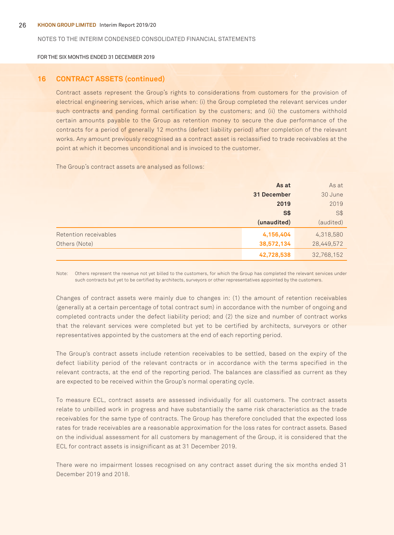FOR THE SIX MONTHS ENDED 31 DECEMBER 2019

## **16 CONTRACT ASSETS (continued)**

Contract assets represent the Group's rights to considerations from customers for the provision of electrical engineering services, which arise when: (i) the Group completed the relevant services under such contracts and pending formal certification by the customers; and (ii) the customers withhold certain amounts payable to the Group as retention money to secure the due performance of the contracts for a period of generally 12 months (defect liability period) after completion of the relevant works. Any amount previously recognised as a contract asset is reclassified to trade receivables at the point at which it becomes unconditional and is invoiced to the customer.

The Group's contract assets are analysed as follows:

|                       | As at       | As at      |
|-----------------------|-------------|------------|
|                       | 31 December | 30 June    |
|                       | 2019        | 2019       |
|                       | <b>S\$</b>  | S\$        |
|                       | (unaudited) | (audited)  |
| Retention receivables | 4,156,404   | 4,318,580  |
| Others (Note)         | 38,572,134  | 28,449,572 |
|                       | 42,728,538  | 32,768,152 |

Note: Others represent the revenue not yet billed to the customers, for which the Group has completed the relevant services under such contracts but yet to be certified by architects, surveyors or other representatives appointed by the customers.

Changes of contract assets were mainly due to changes in: (1) the amount of retention receivables (generally at a certain percentage of total contract sum) in accordance with the number of ongoing and completed contracts under the defect liability period; and (2) the size and number of contract works that the relevant services were completed but yet to be certified by architects, surveyors or other representatives appointed by the customers at the end of each reporting period.

The Group's contract assets include retention receivables to be settled, based on the expiry of the defect liability period of the relevant contracts or in accordance with the terms specified in the relevant contracts, at the end of the reporting period. The balances are classified as current as they are expected to be received within the Group's normal operating cycle.

To measure ECL, contract assets are assessed individually for all customers. The contract assets relate to unbilled work in progress and have substantially the same risk characteristics as the trade receivables for the same type of contracts. The Group has therefore concluded that the expected loss rates for trade receivables are a reasonable approximation for the loss rates for contract assets. Based on the individual assessment for all customers by management of the Group, it is considered that the ECL for contract assets is insignificant as at 31 December 2019.

There were no impairment losses recognised on any contract asset during the six months ended 31 December 2019 and 2018.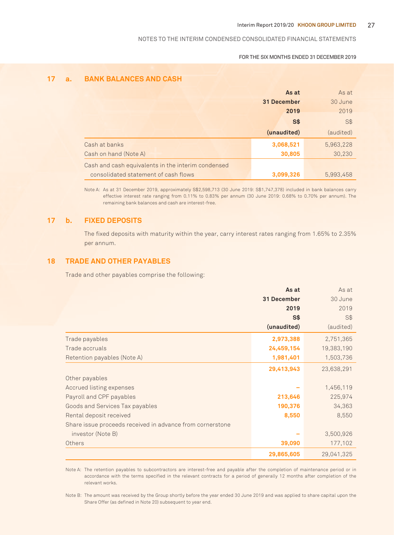#### FOR THE SIX MONTHS ENDED 31 DECEMBER 2019

## **17 a. BANK BALANCES AND CASH**

|                                                    | As at       | As at     |
|----------------------------------------------------|-------------|-----------|
|                                                    | 31 December | 30 June   |
|                                                    | 2019        | 2019      |
|                                                    | S\$         | S\$       |
|                                                    | (unaudited) | (audited) |
| Cash at banks                                      | 3,068,521   | 5,963,228 |
| Cash on hand (Note A)                              | 30,805      | 30,230    |
| Cash and cash equivalents in the interim condensed |             |           |
| consolidated statement of cash flows               | 3,099,326   | 5,993,458 |

Note A: As at 31 December 2019, approximately S\$2,598,713 (30 June 2019: S\$1,747,378) included in bank balances carry effective interest rate ranging from 0.11% to 0.83% per annum (30 June 2019: 0.68% to 0.70% per annum). The remaining bank balances and cash are interest-free.

## **17 b. FIXED DEPOSITS**

The fixed deposits with maturity within the year, carry interest rates ranging from 1.65% to 2.35% per annum.

## **18 TRADE AND OTHER PAYABLES**

Trade and other payables comprise the following:

|                                                           | As at          | As at      |
|-----------------------------------------------------------|----------------|------------|
|                                                           | 31 December    | 30 June    |
|                                                           | 2019           | 2019       |
|                                                           | S <sub>3</sub> | S\$        |
|                                                           | (unaudited)    | (audited)  |
| Trade payables                                            | 2,973,388      | 2,751,365  |
| Trade accruals                                            | 24,459,154     | 19,383,190 |
| Retention payables (Note A)                               | 1,981,401      | 1,503,736  |
|                                                           | 29,413,943     | 23,638,291 |
| Other payables                                            |                |            |
| Accrued listing expenses                                  |                | 1,456,119  |
| Payroll and CPF payables                                  | 213,646        | 225,974    |
| Goods and Services Tax payables                           | 190,376        | 34,363     |
| Rental deposit received                                   | 8,550          | 8,550      |
| Share issue proceeds received in advance from cornerstone |                |            |
| investor (Note B)                                         |                | 3,500,926  |
| Others                                                    | 39,090         | 177,102    |
|                                                           | 29,865,605     | 29,041,325 |

Note A: The retention payables to subcontractors are interest-free and payable after the completion of maintenance period or in accordance with the terms specified in the relevant contracts for a period of generally 12 months after completion of the relevant works.

Note B: The amount was received by the Group shortly before the year ended 30 June 2019 and was applied to share capital upon the Share Offer (as defined in Note 20) subsequent to year end.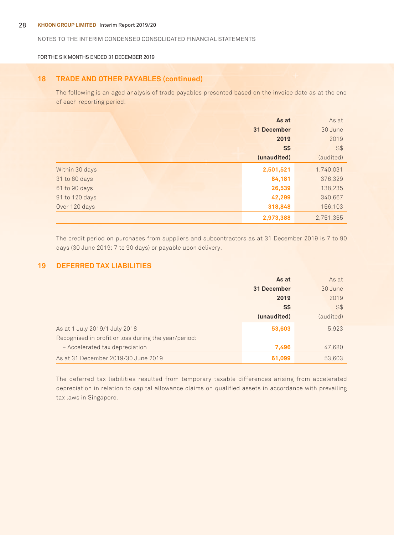#### 28 **Khoon Group Limited** Interim Report 2019/20

## NOTES TO THE Interim CONDENSED CONSOLIDATED FINANCIAL STATEMENTS

FOR THE SIX MONTHS ENDED 31 DECEMBER 2019

## **18 TRADE AND OTHER PAYABLES (continued)**

The following is an aged analysis of trade payables presented based on the invoice date as at the end of each reporting period:

|                | As at          | As at     |
|----------------|----------------|-----------|
|                | 31 December    | 30 June   |
|                | 2019           | 2019      |
|                | S <sub>3</sub> | S\$       |
|                | (unaudited)    | (audited) |
| Within 30 days | 2,501,521      | 1,740,031 |
| 31 to 60 days  | 84,181         | 376,329   |
| 61 to 90 days  | 26,539         | 138,235   |
| 91 to 120 days | 42,299         | 340,667   |
| Over 120 days  | 318,848        | 156,103   |
|                | 2,973,388      | 2,751,365 |

The credit period on purchases from suppliers and subcontractors as at 31 December 2019 is 7 to 90 days (30 June 2019: 7 to 90 days) or payable upon delivery.

## **19 DEFERRED TAX LIABILITIES**

|                                                      | As at       | As at     |
|------------------------------------------------------|-------------|-----------|
|                                                      | 31 December | 30 June   |
|                                                      | 2019        | 2019      |
|                                                      | S\$         | S\$       |
|                                                      | (unaudited) | (audited) |
| As at 1 July 2019/1 July 2018                        | 53,603      | 5,923     |
| Recognised in profit or loss during the year/period: |             |           |
| - Accelerated tax depreciation                       | 7,496       | 47,680    |
| As at 31 December 2019/30 June 2019                  | 61,099      | 53,603    |

The deferred tax liabilities resulted from temporary taxable differences arising from accelerated depreciation in relation to capital allowance claims on qualified assets in accordance with prevailing tax laws in Singapore.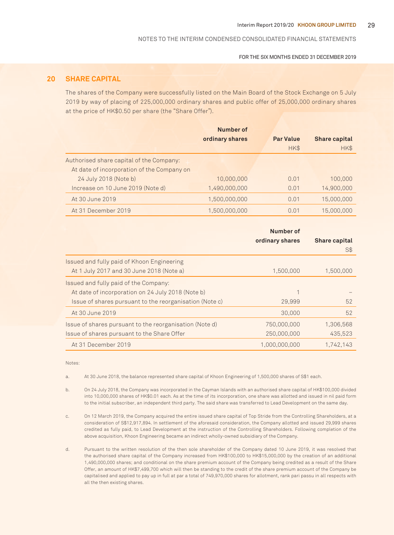FOR THE SIX MONTHS ENDED 31 DECEMBER 2019

## **20 SHARE CAPITAL**

The shares of the Company were successfully listed on the Main Board of the Stock Exchange on 5 July 2019 by way of placing of 225,000,000 ordinary shares and public offer of 25,000,000 ordinary shares at the price of HK\$0.50 per share (the "Share Offer").

|                                            | Number of<br>ordinary shares | <b>Par Value</b><br>HK\$ | <b>Share capital</b><br>HK\$ |
|--------------------------------------------|------------------------------|--------------------------|------------------------------|
| Authorised share capital of the Company:   |                              |                          |                              |
| At date of incorporation of the Company on |                              |                          |                              |
| 24 July 2018 (Note b)                      | 10,000,000                   | 0.01                     | 100,000                      |
| Increase on 10 June 2019 (Note d)          | 1,490,000,000                | 0.01                     | 14,900,000                   |
| At 30 June 2019                            | 1,500,000,000                | 0.01                     | 15,000,000                   |
| At 31 December 2019                        | 1.500.000.000                | 0.01                     | 15,000,000                   |

|                                                         | Number of       |                      |
|---------------------------------------------------------|-----------------|----------------------|
|                                                         | ordinary shares | <b>Share capital</b> |
|                                                         |                 | S\$                  |
| Issued and fully paid of Khoon Engineering              |                 |                      |
| At 1 July 2017 and 30 June 2018 (Note a)                | 1,500,000       | 1,500,000            |
| Issued and fully paid of the Company:                   |                 |                      |
| At date of incorporation on 24 July 2018 (Note b)       |                 |                      |
| Issue of shares pursuant to the reorganisation (Note c) | 29,999          | 52                   |
| At 30 June 2019                                         | 30,000          | 52                   |
| Issue of shares pursuant to the reorganisation (Note d) | 750,000,000     | 1.306.568            |
| Issue of shares pursuant to the Share Offer             | 250,000,000     | 435.523              |
| At 31 December 2019                                     | 1.000.000.000   | 1.742.143            |

Notes:

a. At 30 June 2018, the balance represented share capital of Khoon Engineering of 1,500,000 shares of S\$1 each.

- b. On 24 July 2018, the Company was incorporated in the Cayman Islands with an authorised share capital of HK\$100,000 divided into 10,000,000 shares of HK\$0.01 each. As at the time of its incorporation, one share was allotted and issued in nil paid form to the initial subscriber, an independent third party. The said share was transferred to Lead Development on the same day.
- c. On 12 March 2019, the Company acquired the entire issued share capital of Top Stride from the Controlling Shareholders, at a consideration of S\$12,917,894. In settlement of the aforesaid consideration, the Company allotted and issued 29,999 shares credited as fully paid, to Lead Development at the instruction of the Controlling Shareholders. Following completion of the above acquisition, Khoon Engineering became an indirect wholly-owned subsidiary of the Company.
- d. Pursuant to the written resolution of the then sole shareholder of the Company dated 10 June 2019, it was resolved that the authorised share capital of the Company increased from HK\$100,000 to HK\$15,000,000 by the creation of an additional 1,490,000,000 shares; and conditional on the share premium account of the Company being credited as a result of the Share Offer, an amount of HK\$7,499,700 which will then be standing to the credit of the share premium account of the Company be capitalised and applied to pay up in full at par a total of 749,970,000 shares for allotment, rank pari passu in all respects with all the then existing shares.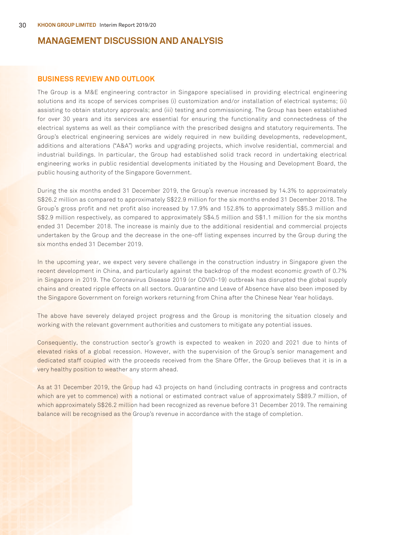## **MANAGEMENT DISCUSSION AND ANALYSIS**

## **BUSINESS REVIEW AND OUTLOOK**

The Group is a M&E engineering contractor in Singapore specialised in providing electrical engineering solutions and its scope of services comprises (i) customization and/or installation of electrical systems; (ii) assisting to obtain statutory approvals; and (iii) testing and commissioning. The Group has been established for over 30 years and its services are essential for ensuring the functionality and connectedness of the electrical systems as well as their compliance with the prescribed designs and statutory requirements. The Group's electrical engineering services are widely required in new building developments, redevelopment, additions and alterations ("A&A") works and upgrading projects, which involve residential, commercial and industrial buildings. In particular, the Group had established solid track record in undertaking electrical engineering works in public residential developments initiated by the Housing and Development Board, the public housing authority of the Singapore Government.

During the six months ended 31 December 2019, the Group's revenue increased by 14.3% to approximately S\$26.2 million as compared to approximately S\$22.9 million for the six months ended 31 December 2018. The Group's gross profit and net profit also increased by 17.9% and 152.8% to approximately S\$5.3 million and S\$2.9 million respectively, as compared to approximately S\$4.5 million and S\$1.1 million for the six months ended 31 December 2018. The increase is mainly due to the additional residential and commercial projects undertaken by the Group and the decrease in the one-off listing expenses incurred by the Group during the six months ended 31 December 2019.

In the upcoming year, we expect very severe challenge in the construction industry in Singapore given the recent development in China, and particularly against the backdrop of the modest economic growth of 0.7% in Singapore in 2019. The Coronavirus Disease 2019 (or COVID-19) outbreak has disrupted the global supply chains and created ripple effects on all sectors. Quarantine and Leave of Absence have also been imposed by the Singapore Government on foreign workers returning from China after the Chinese Near Year holidays.

The above have severely delayed project progress and the Group is monitoring the situation closely and working with the relevant government authorities and customers to mitigate any potential issues.

Consequently, the construction sector's growth is expected to weaken in 2020 and 2021 due to hints of elevated risks of a global recession. However, with the supervision of the Group's senior management and dedicated staff coupled with the proceeds received from the Share Offer, the Group believes that it is in a very healthy position to weather any storm ahead.

As at 31 December 2019, the Group had 43 projects on hand (including contracts in progress and contracts which are yet to commence) with a notional or estimated contract value of approximately S\$89.7 million, of which approximately S\$26.2 million had been recognized as revenue before 31 December 2019. The remaining balance will be recognised as the Group's revenue in accordance with the stage of completion.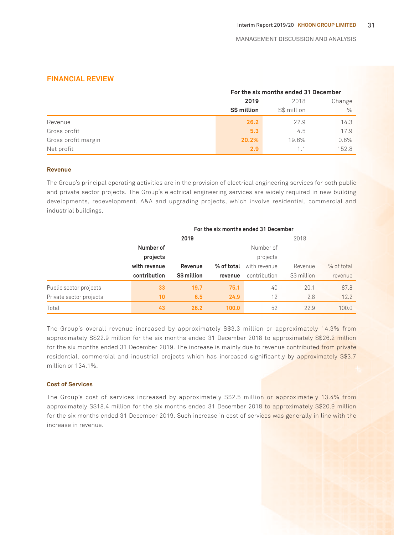## **FINANCIAL REVIEW**

|                     | For the six months ended 31 December |             |         |  |
|---------------------|--------------------------------------|-------------|---------|--|
|                     | 2019                                 | 2018        | Change  |  |
|                     | S\$ million                          | S\$ million | $\%$    |  |
| Revenue             | 26.2                                 | 22.9        | 14.3    |  |
| Gross profit        | 5.3                                  | 4.5         | 17.9    |  |
| Gross profit margin | 20.2%                                | 19.6%       | $0.6\%$ |  |
| Net profit          | 2.9                                  | 1.1         | 152.8   |  |

## **Revenue**

The Group's principal operating activities are in the provision of electrical engineering services for both public and private sector projects. The Group's electrical engineering services are widely required in new building developments, redevelopment, A&A and upgrading projects, which involve residential, commercial and industrial buildings.

|                         | For the six months ended 31 December |             |            |              |             |            |
|-------------------------|--------------------------------------|-------------|------------|--------------|-------------|------------|
|                         |                                      | 2019        |            |              | 2018        |            |
|                         | Number of                            |             |            | Number of    |             |            |
|                         | projects                             |             |            | projects     |             |            |
|                         | with revenue                         | Revenue     | % of total | with revenue | Revenue     | % of total |
|                         | contribution                         | S\$ million | revenue    | contribution | S\$ million | revenue    |
| Public sector projects  | 33                                   | 19.7        | 75.1       | 40           | 20.1        | 87.8       |
| Private sector projects | 10                                   | 6.5         | 24.9       | 12           | 2.8         | 12.2       |
| Total                   | 43                                   | 26.2        | 100.0      | 52           | 22.9        | 100.0      |

The Group's overall revenue increased by approximately S\$3.3 million or approximately 14.3% from approximately S\$22.9 million for the six months ended 31 December 2018 to approximately S\$26.2 million for the six months ended 31 December 2019. The increase is mainly due to revenue contributed from private residential, commercial and industrial projects which has increased significantly by approximately S\$3.7 million or 134.1%.

## **Cost of Services**

The Group's cost of services increased by approximately S\$2.5 million or approximately 13.4% from approximately S\$18.4 million for the six months ended 31 December 2018 to approximately S\$20.9 million for the six months ended 31 December 2019. Such increase in cost of services was generally in line with the increase in revenue.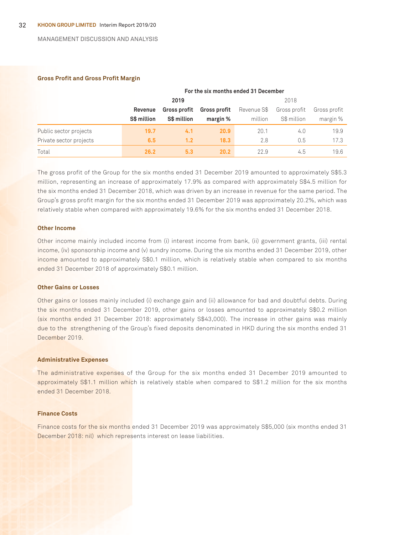#### MANAGEMENT DISCUSSION AND ANALYSIS

#### **Gross Profit and Gross Profit Margin**

|                         | For the six months ended 31 December |                     |                     |             |             |              |
|-------------------------|--------------------------------------|---------------------|---------------------|-------------|-------------|--------------|
|                         | 2019                                 |                     |                     | 2018        |             |              |
|                         | Revenue                              | <b>Gross profit</b> | <b>Gross profit</b> | Revenue S\$ |             | Gross profit |
|                         | S\$ million                          | S\$ million         | margin %            | million     | S\$ million | margin %     |
| Public sector projects  | 19.7                                 | 4.1                 | 20.9                | 20.1        | 4.0         | 19.9         |
| Private sector projects | 6.5                                  | 1.2                 | 18.3                | 2.8         | 0.5         | 17.3         |
| Total                   | 26.2                                 | 5.3                 | 20.2                | 22.9        | 4.5         | 19.6         |

The gross profit of the Group for the six months ended 31 December 2019 amounted to approximately S\$5.3 million, representing an increase of approximately 17.9% as compared with approximately S\$4.5 million for the six months ended 31 December 2018, which was driven by an increase in revenue for the same period. The Group's gross profit margin for the six months ended 31 December 2019 was approximately 20.2%, which was relatively stable when compared with approximately 19.6% for the six months ended 31 December 2018.

#### **Other Income**

Other income mainly included income from (i) interest income from bank, (ii) government grants, (iii) rental income, (iv) sponsorship income and (v) sundry income. During the six months ended 31 December 2019, other income amounted to approximately S\$0.1 million, which is relatively stable when compared to six months ended 31 December 2018 of approximately S\$0.1 million.

#### **Other Gains or Losses**

Other gains or losses mainly included (i) exchange gain and (ii) allowance for bad and doubtful debts. During the six months ended 31 December 2019, other gains or losses amounted to approximately S\$0.2 million (six months ended 31 December 2018: approximately S\$43,000). The increase in other gains was mainly due to the strengthening of the Group's fixed deposits denominated in HKD during the six months ended 31 December 2019.

#### **Administrative Expenses**

The administrative expenses of the Group for the six months ended 31 December 2019 amounted to approximately S\$1.1 million which is relatively stable when compared to S\$1.2 million for the six months ended 31 December 2018.

#### **Finance Costs**

Finance costs for the six months ended 31 December 2019 was approximately S\$5,000 (six months ended 31 December 2018: nil) which represents interest on lease liabilities.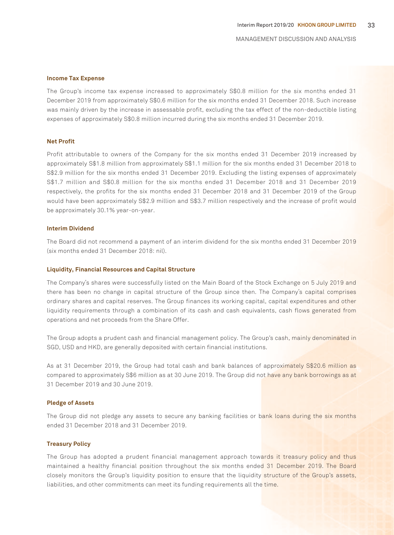#### **Income Tax Expense**

The Group's income tax expense increased to approximately S\$0.8 million for the six months ended 31 December 2019 from approximately S\$0.6 million for the six months ended 31 December 2018. Such increase was mainly driven by the increase in assessable profit, excluding the tax effect of the non-deductible listing expenses of approximately S\$0.8 million incurred during the six months ended 31 December 2019.

#### **Net Profit**

Profit attributable to owners of the Company for the six months ended 31 December 2019 increased by approximately S\$1.8 million from approximately S\$1.1 million for the six months ended 31 December 2018 to S\$2.9 million for the six months ended 31 December 2019. Excluding the listing expenses of approximately S\$1.7 million and S\$0.8 million for the six months ended 31 December 2018 and 31 December 2019 respectively, the profits for the six months ended 31 December 2018 and 31 December 2019 of the Group would have been approximately S\$2.9 million and S\$3.7 million respectively and the increase of profit would be approximately 30.1% year-on-year.

#### **Interim Dividend**

The Board did not recommend a payment of an interim dividend for the six months ended 31 December 2019 (six months ended 31 December 2018: nil).

#### **Liquidity, Financial Resources and Capital Structure**

The Company's shares were successfully listed on the Main Board of the Stock Exchange on 5 July 2019 and there has been no change in capital structure of the Group since then. The Company's capital comprises ordinary shares and capital reserves. The Group finances its working capital, capital expenditures and other liquidity requirements through a combination of its cash and cash equivalents, cash flows generated from operations and net proceeds from the Share Offer.

The Group adopts a prudent cash and financial management policy. The Group's cash, mainly denominated in SGD, USD and HKD, are generally deposited with certain financial institutions.

As at 31 December 2019, the Group had total cash and bank balances of approximately S\$20.6 million as compared to approximately S\$6 million as at 30 June 2019. The Group did not have any bank borrowings as at 31 December 2019 and 30 June 2019.

#### **Pledge of Assets**

The Group did not pledge any assets to secure any banking facilities or bank loans during the six months ended 31 December 2018 and 31 December 2019.

#### **Treasury Policy**

The Group has adopted a prudent financial management approach towards it treasury policy and thus maintained a healthy financial position throughout the six months ended 31 December 2019. The Board closely monitors the Group's liquidity position to ensure that the liquidity structure of the Group's assets, liabilities, and other commitments can meet its funding requirements all the time.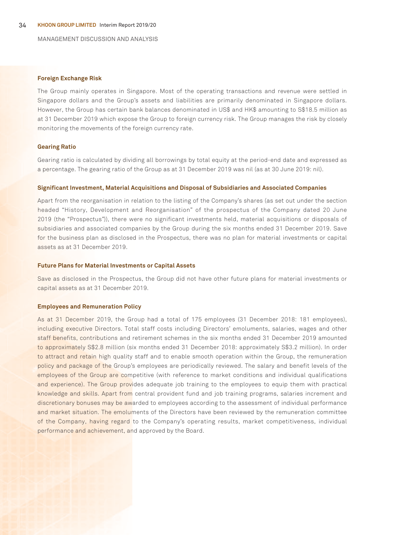MANAGEMENT DISCUSSION AND ANALYSIS

#### **Foreign Exchange Risk**

The Group mainly operates in Singapore. Most of the operating transactions and revenue were settled in Singapore dollars and the Group's assets and liabilities are primarily denominated in Singapore dollars. However, the Group has certain bank balances denominated in US\$ and HK\$ amounting to S\$18.5 million as at 31 December 2019 which expose the Group to foreign currency risk. The Group manages the risk by closely monitoring the movements of the foreign currency rate.

#### **Gearing Ratio**

Gearing ratio is calculated by dividing all borrowings by total equity at the period-end date and expressed as a percentage. The gearing ratio of the Group as at 31 December 2019 was nil (as at 30 June 2019: nil).

#### **Significant Investment, Material Acquisitions and Disposal of Subsidiaries and Associated Companies**

Apart from the reorganisation in relation to the listing of the Company's shares (as set out under the section headed "History, Development and Reorganisation" of the prospectus of the Company dated 20 June 2019 (the "Prospectus")), there were no significant investments held, material acquisitions or disposals of subsidiaries and associated companies by the Group during the six months ended 31 December 2019. Save for the business plan as disclosed in the Prospectus, there was no plan for material investments or capital assets as at 31 December 2019.

#### **Future Plans for Material Investments or Capital Assets**

Save as disclosed in the Prospectus, the Group did not have other future plans for material investments or capital assets as at 31 December 2019.

#### **Employees and Remuneration Policy**

As at 31 December 2019, the Group had a total of 175 employees (31 December 2018: 181 employees), including executive Directors. Total staff costs including Directors' emoluments, salaries, wages and other staff benefits, contributions and retirement schemes in the six months ended 31 December 2019 amounted to approximately S\$2.8 million (six months ended 31 December 2018: approximately S\$3.2 million). In order to attract and retain high quality staff and to enable smooth operation within the Group, the remuneration policy and package of the Group's employees are periodically reviewed. The salary and benefit levels of the employees of the Group are competitive (with reference to market conditions and individual qualifications and experience). The Group provides adequate job training to the employees to equip them with practical knowledge and skills. Apart from central provident fund and job training programs, salaries increment and discretionary bonuses may be awarded to employees according to the assessment of individual performance and market situation. The emoluments of the Directors have been reviewed by the remuneration committee of the Company, having regard to the Company's operating results, market competitiveness, individual performance and achievement, and approved by the Board.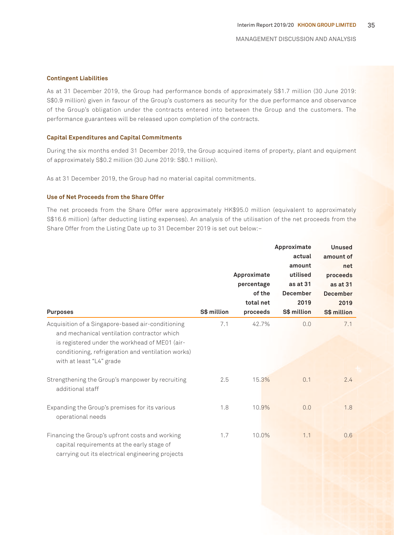## **Contingent Liabilities**

As at 31 December 2019, the Group had performance bonds of approximately S\$1.7 million (30 June 2019: S\$0.9 million) given in favour of the Group's customers as security for the due performance and observance of the Group's obligation under the contracts entered into between the Group and the customers. The performance guarantees will be released upon completion of the contracts.

#### **Capital Expenditures and Capital Commitments**

During the six months ended 31 December 2019, the Group acquired items of property, plant and equipment of approximately S\$0.2 million (30 June 2019: S\$0.1 million).

As at 31 December 2019, the Group had no material capital commitments.

## **Use of Net Proceeds from the Share Offer**

The net proceeds from the Share Offer were approximately HK\$95.0 million (equivalent to approximately S\$16.6 million) (after deducting listing expenses). An analysis of the utilisation of the net proceeds from the Share Offer from the Listing Date up to 31 December 2019 is set out below:–

|                                                                                                                                                                                                                                      | Approximate |             |                  | <b>Unused</b>    |  |
|--------------------------------------------------------------------------------------------------------------------------------------------------------------------------------------------------------------------------------------|-------------|-------------|------------------|------------------|--|
|                                                                                                                                                                                                                                      |             |             | actual<br>amount | amount of<br>net |  |
|                                                                                                                                                                                                                                      |             | Approximate | utilised         | proceeds         |  |
|                                                                                                                                                                                                                                      |             | percentage  | as at 31         | as at 31         |  |
|                                                                                                                                                                                                                                      |             | of the      | <b>December</b>  | <b>December</b>  |  |
|                                                                                                                                                                                                                                      |             | total net   | 2019             | 2019             |  |
| <b>Purposes</b>                                                                                                                                                                                                                      | S\$ million | proceeds    | S\$ million      | S\$ million      |  |
| Acquisition of a Singapore-based air-conditioning<br>and mechanical ventilation contractor which<br>is registered under the workhead of ME01 (air-<br>conditioning, refrigeration and ventilation works)<br>with at least "L4" grade | 7.1         | 42.7%       | 0.0              | 7.1              |  |
| Strengthening the Group's manpower by recruiting<br>additional staff                                                                                                                                                                 | 2.5         | 15.3%       | 0.1              | 2.4              |  |
| Expanding the Group's premises for its various<br>operational needs                                                                                                                                                                  | 1.8         | 10.9%       | 0.0              | 1.8              |  |
| Financing the Group's upfront costs and working<br>capital requirements at the early stage of<br>carrying out its electrical engineering projects                                                                                    | 1.7         | 10.0%       | 1.1              | 0.6              |  |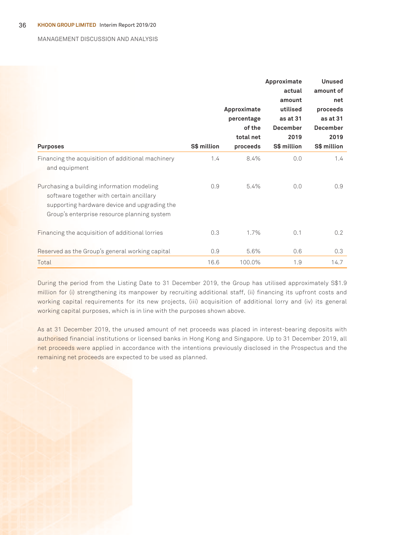#### MANAGEMENT DISCUSSION AND ANALYSIS

| <b>Purposes</b>                                                                                                                                                                       | S\$ million | Approximate<br>percentage<br>of the<br>total net<br>proceeds | Approximate<br>actual<br>amount<br>utilised<br>as at 31<br><b>December</b><br>2019<br>S\$ million | <b>Unused</b><br>amount of<br>net<br>proceeds<br>as at 31<br><b>December</b><br>2019<br>S\$ million |
|---------------------------------------------------------------------------------------------------------------------------------------------------------------------------------------|-------------|--------------------------------------------------------------|---------------------------------------------------------------------------------------------------|-----------------------------------------------------------------------------------------------------|
| Financing the acquisition of additional machinery<br>and equipment                                                                                                                    | 1.4         | 8.4%                                                         | 0.0                                                                                               | 1.4                                                                                                 |
| Purchasing a building information modeling<br>software together with certain ancillary<br>supporting hardware device and upgrading the<br>Group's enterprise resource planning system | 0.9         | 5.4%                                                         | 0.0                                                                                               | 0.9                                                                                                 |
| Financing the acquisition of additional lorries                                                                                                                                       | 0.3         | 1.7%                                                         | 0.1                                                                                               | 0.2                                                                                                 |
| Reserved as the Group's general working capital                                                                                                                                       | 0.9         | 5.6%                                                         | 0.6                                                                                               | 0.3                                                                                                 |
| Total                                                                                                                                                                                 | 16.6        | 100.0%                                                       | 1.9                                                                                               | 14.7                                                                                                |

During the period from the Listing Date to 31 December 2019, the Group has utilised approximately S\$1.9 million for (i) strengthening its manpower by recruiting additional staff, (ii) financing its upfront costs and working capital requirements for its new projects, (iii) acquisition of additional lorry and (iv) its general working capital purposes, which is in line with the purposes shown above.

As at 31 December 2019, the unused amount of net proceeds was placed in interest-bearing deposits with authorised financial institutions or licensed banks in Hong Kong and Singapore. Up to 31 December 2019, all net proceeds were applied in accordance with the intentions previously disclosed in the Prospectus and the remaining net proceeds are expected to be used as planned.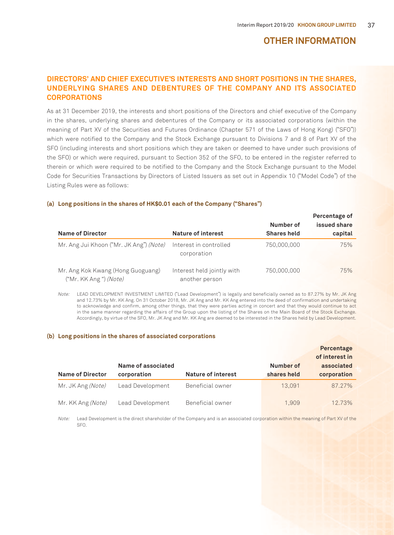## **OTHER INFORMATION**

## **DIRECTORS' AND CHIEF EXECUTIVE'S INTERESTS AND SHORT POSITIONS IN THE SHARES, UNDERLYING SHARES AND DEBENTURES OF THE COMPANY AND ITS ASSOCIATED CORPORATIONS**

As at 31 December 2019, the interests and short positions of the Directors and chief executive of the Company in the shares, underlying shares and debentures of the Company or its associated corporations (within the meaning of Part XV of the Securities and Futures Ordinance (Chapter 571 of the Laws of Hong Kong) ("SFO")) which were notified to the Company and the Stock Exchange pursuant to Divisions 7 and 8 of Part XV of the SFO (including interests and short positions which they are taken or deemed to have under such provisions of the SFO) or which were required, pursuant to Section 352 of the SFO, to be entered in the register referred to therein or which were required to be notified to the Company and the Stock Exchange pursuant to the Model Code for Securities Transactions by Directors of Listed Issuers as set out in Appendix 10 ("Model Code") of the Listing Rules were as follows:

| <b>Name of Director</b>                                     | <b>Nature of interest</b>                    | Number of<br><b>Shares held</b> | Percentage of<br>issued share<br>capital |
|-------------------------------------------------------------|----------------------------------------------|---------------------------------|------------------------------------------|
| Mr. Ang Jui Khoon ("Mr. JK Ang") (Note)                     | Interest in controlled<br>corporation        | 750,000,000                     | 75%                                      |
| Mr. Ang Kok Kwang (Hong Guoguang)<br>("Mr. KK Ang ") (Note) | Interest held jointly with<br>another person | 750,000,000                     | 75%                                      |

#### **(a) Long positions in the shares of HK\$0.01 each of the Company ("Shares")**

Note: LEAD DEVELOPMENT INVESTMENT LIMITED ("Lead Development") is legally and beneficially owned as to 87.27% by Mr. JK Ang and 12.73% by Mr. KK Ang. On 31 October 2018, Mr. JK Ang and Mr. KK Ang entered into the deed of confirmation and undertaking to acknowledge and confirm, among other things, that they were parties acting in concert and that they would continue to act in the same manner regarding the affairs of the Group upon the listing of the Shares on the Main Board of the Stock Exchange. Accordingly, by virtue of the SFO, Mr. JK Ang and Mr. KK Ang are deemed to be interested in the Shares held by Lead Development.

#### **(b) Long positions in the shares of associated corporations**

| <b>Name of Director</b> | Name of associated<br>corporation | Nature of interest | Number of<br>shares held | Percentage<br>of interest in<br>associated<br>corporation |
|-------------------------|-----------------------------------|--------------------|--------------------------|-----------------------------------------------------------|
| Mr. JK Ang (Note)       | Lead Development                  | Beneficial owner   | 13.091                   | 87.27%                                                    |
| Mr. KK Ang (Note)       | Lead Development                  | Beneficial owner   | 1.909                    | 12.73%                                                    |

Note: Lead Development is the direct shareholder of the Company and is an associated corporation within the meaning of Part XV of the SFO.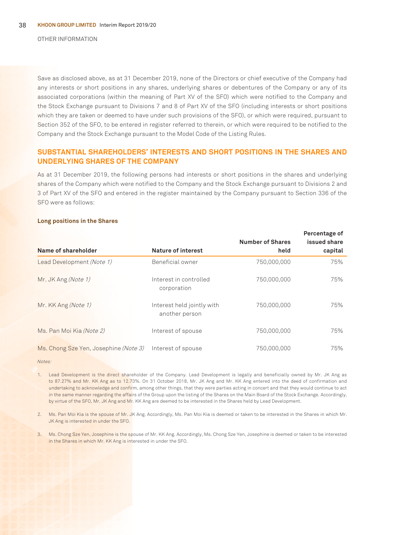OTHER INFORMATION

Save as disclosed above, as at 31 December 2019, none of the Directors or chief executive of the Company had any interests or short positions in any shares, underlying shares or debentures of the Company or any of its associated corporations (within the meaning of Part XV of the SFO) which were notified to the Company and the Stock Exchange pursuant to Divisions 7 and 8 of Part XV of the SFO (including interests or short positions which they are taken or deemed to have under such provisions of the SFO), or which were required, pursuant to Section 352 of the SFO, to be entered in register referred to therein, or which were required to be notified to the Company and the Stock Exchange pursuant to the Model Code of the Listing Rules.

## **SUBSTANTIAL SHAREHOLDERS' INTERESTS AND SHORT POSITIONS IN THE SHARES AND UNDERLYING SHARES OF THE COMPANY**

As at 31 December 2019, the following persons had interests or short positions in the shares and underlying shares of the Company which were notified to the Company and the Stock Exchange pursuant to Divisions 2 and 3 of Part XV of the SFO and entered in the register maintained by the Company pursuant to Section 336 of the SFO were as follows:

#### **Long positions in the Shares**

|                                       |                                              | <b>Number of Shares</b> | Percentage of<br>issued share |
|---------------------------------------|----------------------------------------------|-------------------------|-------------------------------|
| Name of shareholder                   | <b>Nature of interest</b>                    | held                    | capital                       |
| Lead Development (Note 1)             | Beneficial owner                             | 750,000,000             | 75%                           |
| Mr. JK Ang (Note 1)                   | Interest in controlled<br>corporation        | 750,000,000             | 75%                           |
| Mr. KK Ang (Note 1)                   | Interest held jointly with<br>another person | 750,000,000             | 75%                           |
| Ms. Pan Moi Kia (Note 2)              | Interest of spouse                           | 750,000,000             | 75%                           |
| Ms. Chong Sze Yen, Josephine (Note 3) | Interest of spouse                           | 750,000,000             | 75%                           |

Notes:

1. Lead Development is the direct shareholder of the Company. Lead Development is legally and beneficially owned by Mr. JK Ang as to 87.27% and Mr. KK Ang as to 12.73%. On 31 October 2018, Mr. JK Ang and Mr. KK Ang entered into the deed of confirmation and undertaking to acknowledge and confirm, among other things, that they were parties acting in concert and that they would continue to act in the same manner regarding the affairs of the Group upon the listing of the Shares on the Main Board of the Stock Exchange. Accordingly, by virtue of the SFO, Mr. JK Ang and Mr. KK Ang are deemed to be interested in the Shares held by Lead Development.

2. Ms. Pan Moi Kia is the spouse of Mr. JK Ang. Accordingly, Ms. Pan Moi Kia is deemed or taken to be interested in the Shares in which Mr. JK Ang is interested in under the SFO.

3. Ms. Chong Sze Yen, Josephine is the spouse of Mr. KK Ang. Accordingly, Ms. Chong Sze Yen, Josephine is deemed or taken to be interested in the Shares in which Mr. KK Ang is interested in under the SFO.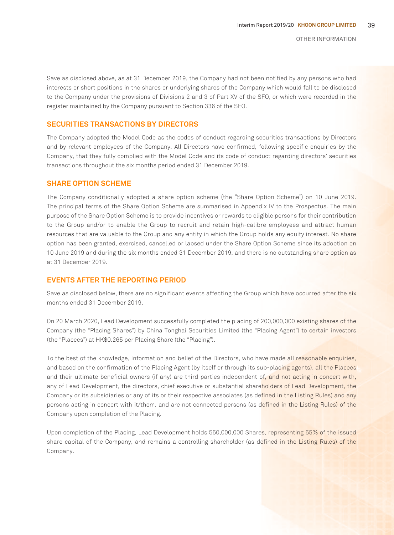Save as disclosed above, as at 31 December 2019, the Company had not been notified by any persons who had interests or short positions in the shares or underlying shares of the Company which would fall to be disclosed to the Company under the provisions of Divisions 2 and 3 of Part XV of the SFO, or which were recorded in the register maintained by the Company pursuant to Section 336 of the SFO.

## **SECURITIES TRANSACTIONS BY DIRECTORS**

The Company adopted the Model Code as the codes of conduct regarding securities transactions by Directors and by relevant employees of the Company. All Directors have confirmed, following specific enquiries by the Company, that they fully complied with the Model Code and its code of conduct regarding directors' securities transactions throughout the six months period ended 31 December 2019.

## **SHARE OPTION SCHEME**

The Company conditionally adopted a share option scheme (the "Share Option Scheme") on 10 June 2019. The principal terms of the Share Option Scheme are summarised in Appendix IV to the Prospectus. The main purpose of the Share Option Scheme is to provide incentives or rewards to eligible persons for their contribution to the Group and/or to enable the Group to recruit and retain high-calibre employees and attract human resources that are valuable to the Group and any entity in which the Group holds any equity interest. No share option has been granted, exercised, cancelled or lapsed under the Share Option Scheme since its adoption on 10 June 2019 and during the six months ended 31 December 2019, and there is no outstanding share option as at 31 December 2019.

## **EVENTS AFTER THE REPORTING PERIOD**

Save as disclosed below, there are no significant events affecting the Group which have occurred after the six months ended 31 December 2019.

On 20 March 2020, Lead Development successfully completed the placing of 200,000,000 existing shares of the Company (the "Placing Shares") by China Tonghai Securities Limited (the "Placing Agent") to certain investors (the "Placees") at HK\$0.265 per Placing Share (the "Placing").

To the best of the knowledge, information and belief of the Directors, who have made all reasonable enquiries, and based on the confirmation of the Placing Agent (by itself or through its sub-placing agents), all the Placees and their ultimate beneficial owners (if any) are third parties independent of, and not acting in concert with, any of Lead Development, the directors, chief executive or substantial shareholders of Lead Development, the Company or its subsidiaries or any of its or their respective associates (as defined in the Listing Rules) and any persons acting in concert with it/them, and are not connected persons (as defined in the Listing Rules) of the Company upon completion of the Placing.

Upon completion of the Placing, Lead Development holds 550,000,000 Shares, representing 55% of the issued share capital of the Company, and remains a controlling shareholder (as defined in the Listing Rules) of the Company.